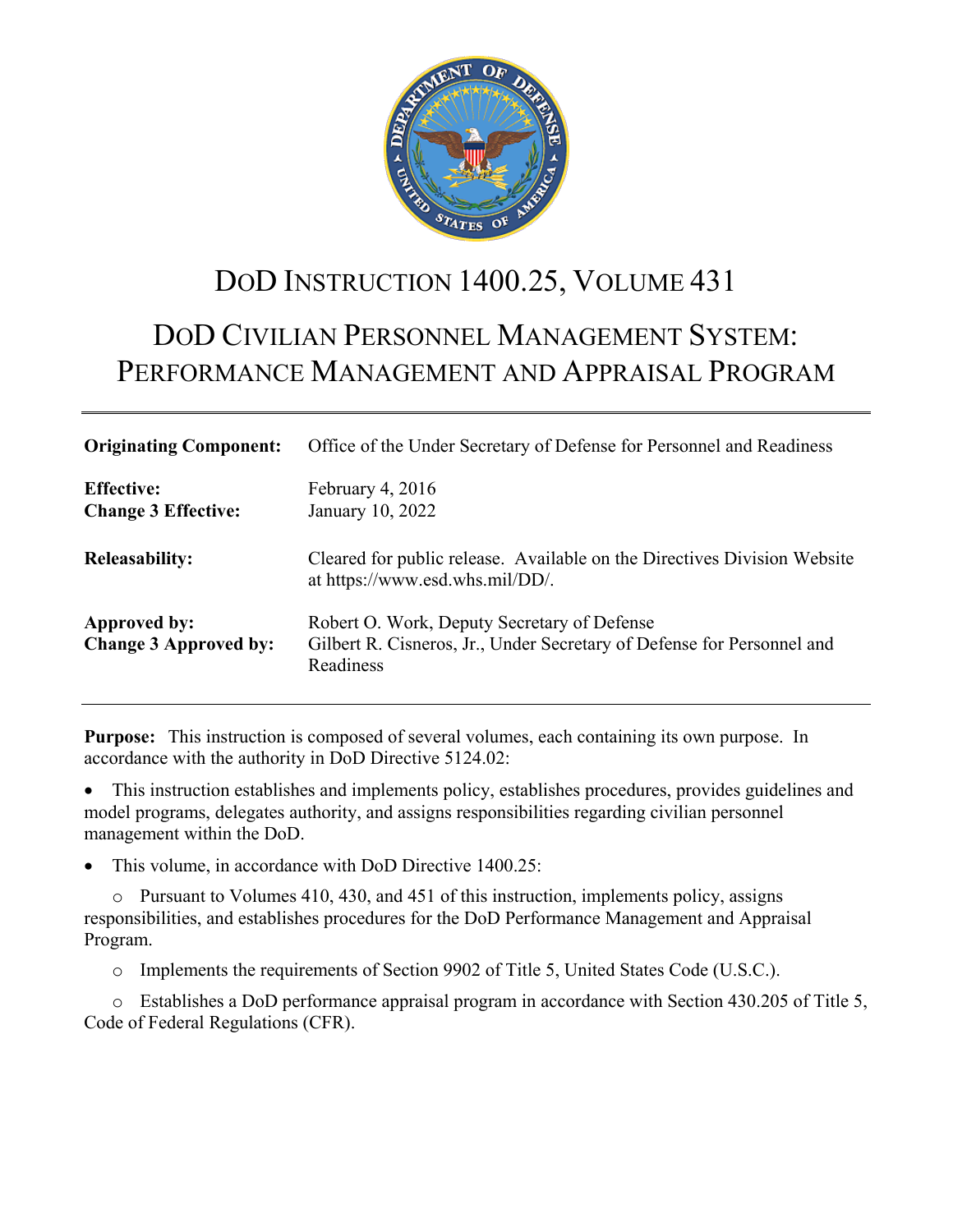

# DOD INSTRUCTION 1400.25, VOLUME 431

# DOD CIVILIAN PERSONNEL MANAGEMENT SYSTEM: PERFORMANCE MANAGEMENT AND APPRAISAL PROGRAM

| <b>Originating Component:</b>                       | Office of the Under Secretary of Defense for Personnel and Readiness                                                               |  |
|-----------------------------------------------------|------------------------------------------------------------------------------------------------------------------------------------|--|
| <b>Effective:</b><br><b>Change 3 Effective:</b>     | February 4, $2016$<br>January 10, 2022                                                                                             |  |
| <b>Releasability:</b>                               | Cleared for public release. Available on the Directives Division Website<br>at https://www.esd.whs.mil/DD/.                        |  |
| <b>Approved by:</b><br><b>Change 3 Approved by:</b> | Robert O. Work, Deputy Secretary of Defense<br>Gilbert R. Cisneros, Jr., Under Secretary of Defense for Personnel and<br>Readiness |  |

**Purpose:** This instruction is composed of several volumes, each containing its own purpose. In accordance with the authority in DoD Directive 5124.02:

• This instruction establishes and implements policy, establishes procedures, provides guidelines and model programs, delegates authority, and assigns responsibilities regarding civilian personnel management within the DoD.

This volume, in accordance with DoD Directive 1400.25:

o Pursuant to Volumes 410, 430, and 451 of this instruction, implements policy, assigns responsibilities, and establishes procedures for the DoD Performance Management and Appraisal Program.

o Implements the requirements of Section 9902 of Title 5, United States Code (U.S.C.).

o Establishes a DoD performance appraisal program in accordance with Section 430.205 of Title 5, Code of Federal Regulations (CFR).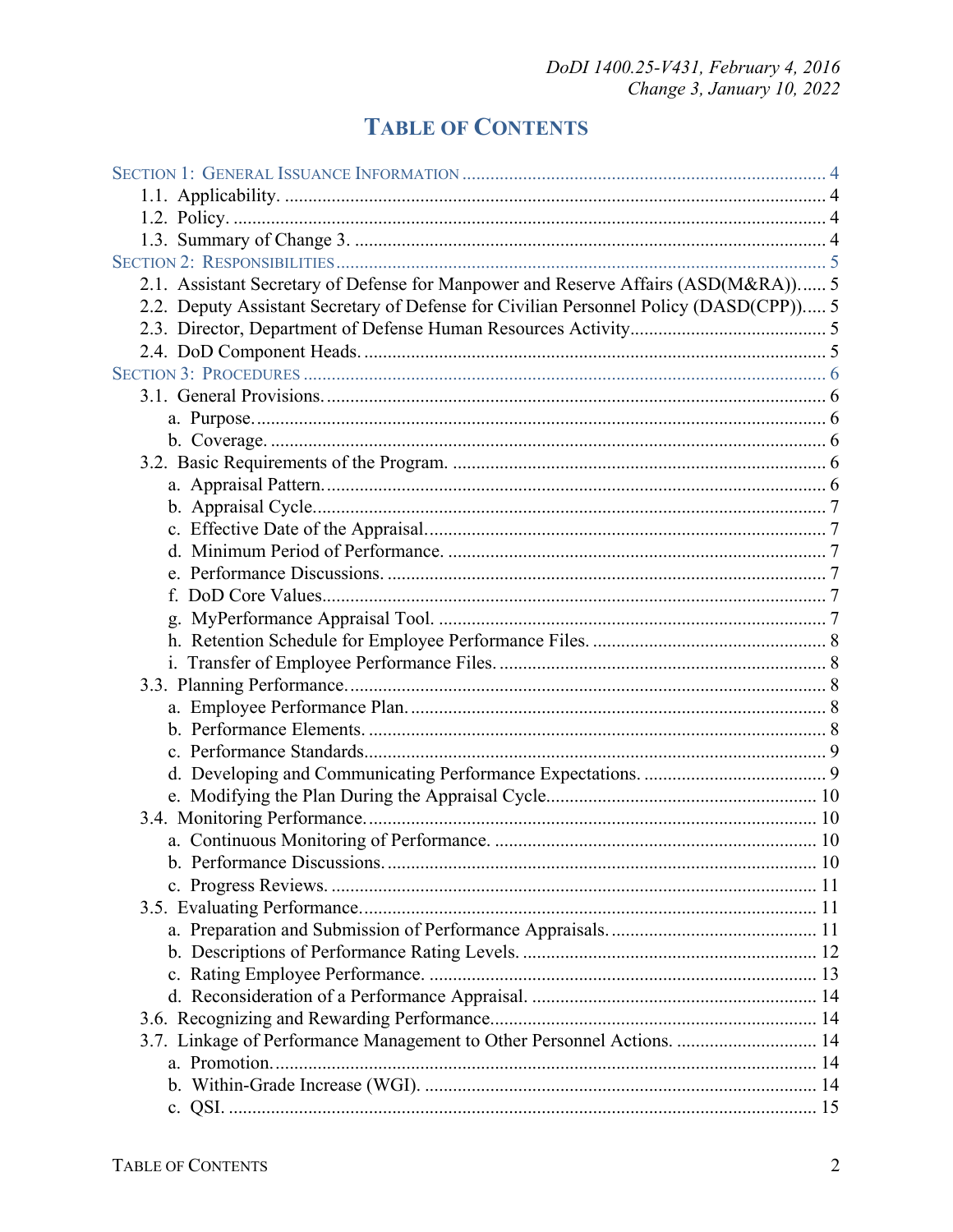# **TABLE OF CONTENTS**

| 2.1. Assistant Secretary of Defense for Manpower and Reserve Affairs (ASD(M&RA)) 5     |  |
|----------------------------------------------------------------------------------------|--|
| 2.2. Deputy Assistant Secretary of Defense for Civilian Personnel Policy (DASD(CPP)) 5 |  |
|                                                                                        |  |
|                                                                                        |  |
|                                                                                        |  |
|                                                                                        |  |
|                                                                                        |  |
|                                                                                        |  |
|                                                                                        |  |
|                                                                                        |  |
|                                                                                        |  |
|                                                                                        |  |
|                                                                                        |  |
|                                                                                        |  |
|                                                                                        |  |
|                                                                                        |  |
|                                                                                        |  |
|                                                                                        |  |
|                                                                                        |  |
|                                                                                        |  |
|                                                                                        |  |
|                                                                                        |  |
|                                                                                        |  |
|                                                                                        |  |
|                                                                                        |  |
|                                                                                        |  |
|                                                                                        |  |
|                                                                                        |  |
|                                                                                        |  |
|                                                                                        |  |
|                                                                                        |  |
|                                                                                        |  |
|                                                                                        |  |
|                                                                                        |  |
|                                                                                        |  |
| 3.7. Linkage of Performance Management to Other Personnel Actions.  14                 |  |
|                                                                                        |  |
|                                                                                        |  |
|                                                                                        |  |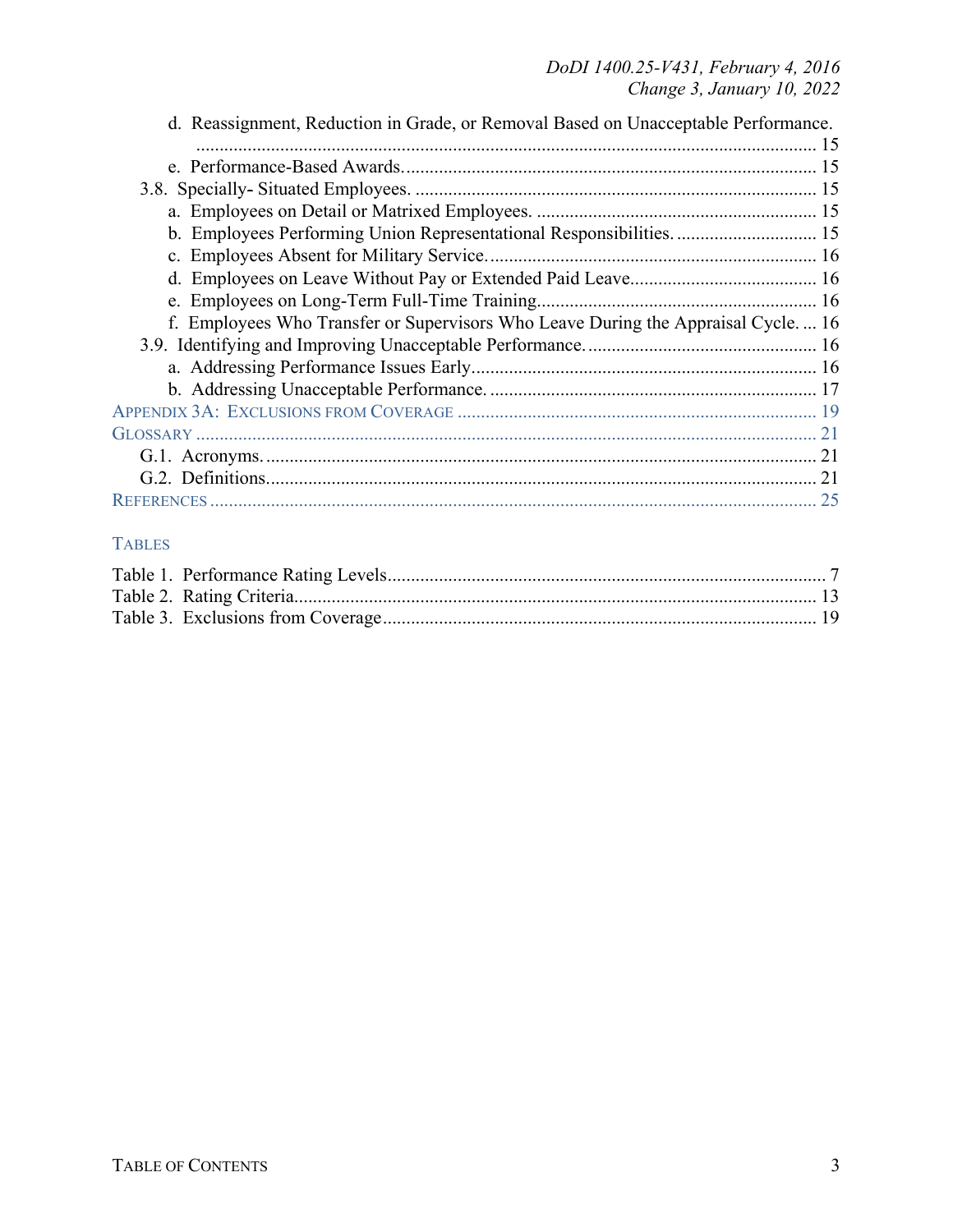| d. Reassignment, Reduction in Grade, or Removal Based on Unacceptable Performance. |  |
|------------------------------------------------------------------------------------|--|
|                                                                                    |  |
|                                                                                    |  |
|                                                                                    |  |
|                                                                                    |  |
| b. Employees Performing Union Representational Responsibilities.  15               |  |
|                                                                                    |  |
|                                                                                    |  |
|                                                                                    |  |
| f. Employees Who Transfer or Supervisors Who Leave During the Appraisal Cycle 16   |  |
|                                                                                    |  |
|                                                                                    |  |
|                                                                                    |  |
|                                                                                    |  |
|                                                                                    |  |
|                                                                                    |  |
|                                                                                    |  |
|                                                                                    |  |

## TABLES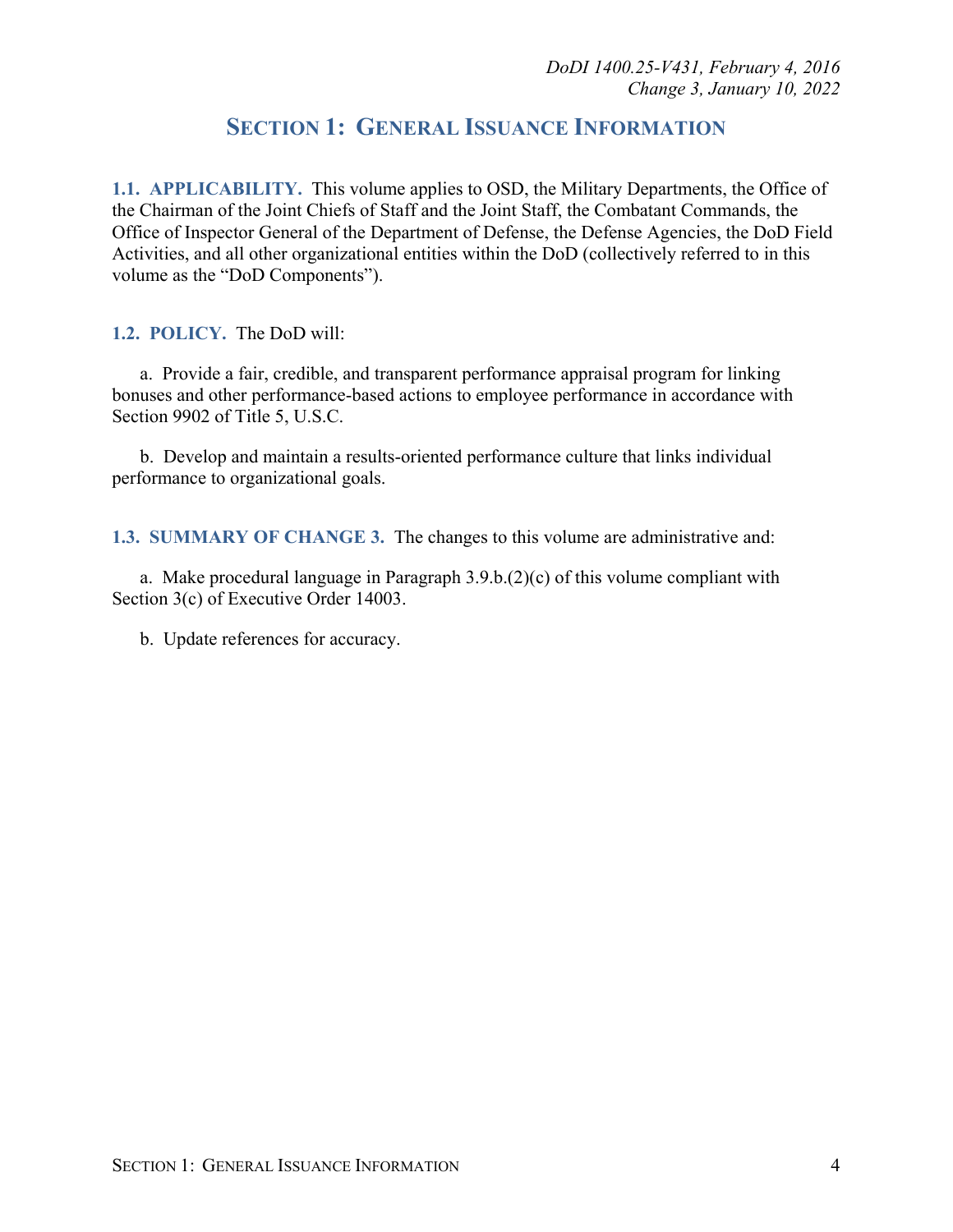## **SECTION 1: GENERAL ISSUANCE INFORMATION**

<span id="page-3-1"></span><span id="page-3-0"></span>**1.1. APPLICABILITY.** This volume applies to OSD, the Military Departments, the Office of the Chairman of the Joint Chiefs of Staff and the Joint Staff, the Combatant Commands, the Office of Inspector General of the Department of Defense, the Defense Agencies, the DoD Field Activities, and all other organizational entities within the DoD (collectively referred to in this volume as the "DoD Components").

<span id="page-3-2"></span>**1.2. POLICY.** The DoD will:

a. Provide a fair, credible, and transparent performance appraisal program for linking bonuses and other performance-based actions to employee performance in accordance with Section 9902 of Title 5, U.S.C.

b. Develop and maintain a results-oriented performance culture that links individual performance to organizational goals.

<span id="page-3-3"></span>**1.3. SUMMARY OF CHANGE 3.** The changes to this volume are administrative and:

a. Make procedural language in Paragraph 3.9.b.(2)(c) of this volume compliant with Section 3(c) of Executive Order 14003.

b. Update references for accuracy.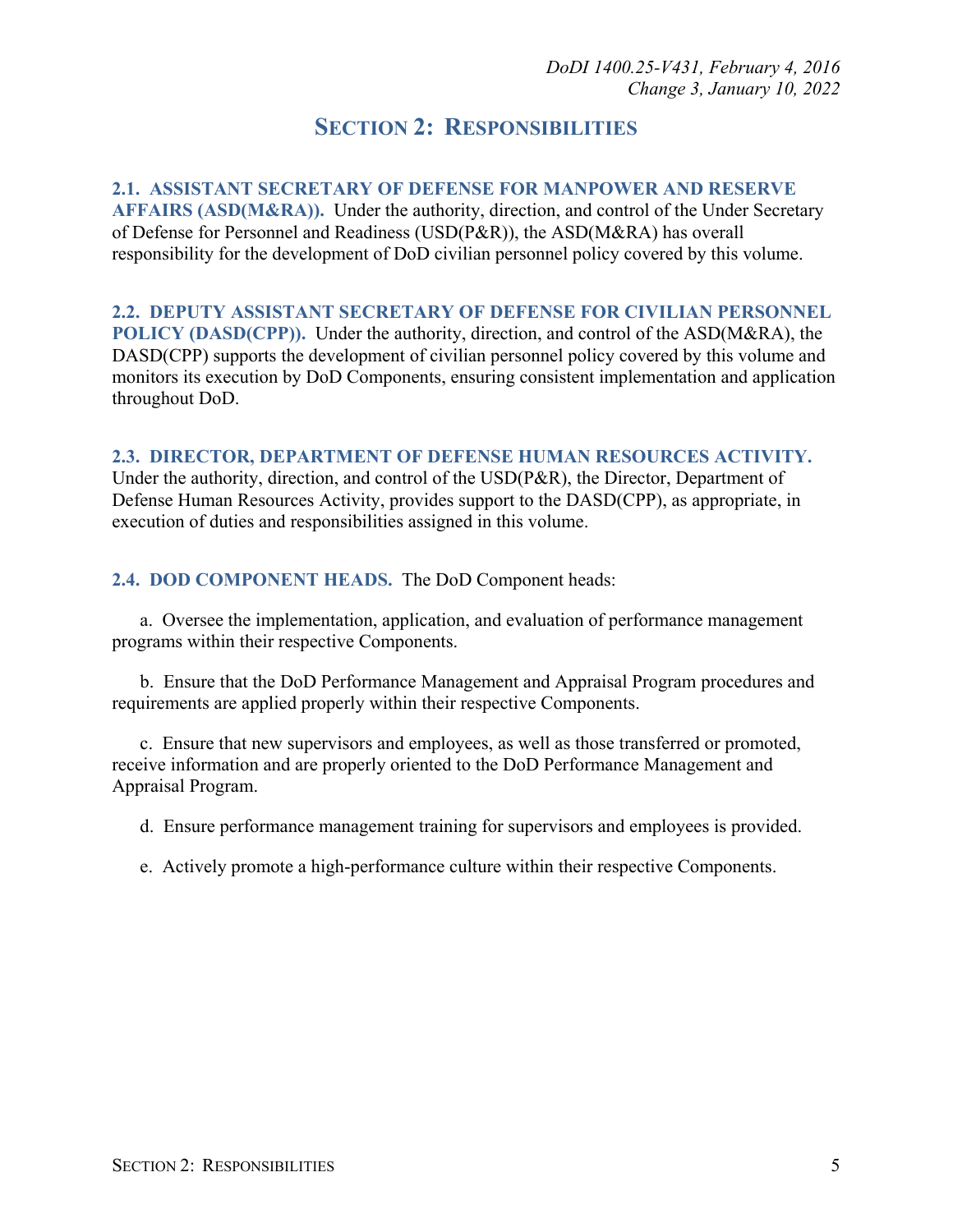## **SECTION 2: RESPONSIBILITIES**

<span id="page-4-1"></span><span id="page-4-0"></span>**2.1. ASSISTANT SECRETARY OF DEFENSE FOR MANPOWER AND RESERVE AFFAIRS (ASD(M&RA)).** Under the authority, direction, and control of the Under Secretary of Defense for Personnel and Readiness (USD(P&R)), the ASD(M&RA) has overall responsibility for the development of DoD civilian personnel policy covered by this volume.

<span id="page-4-2"></span>**2.2. DEPUTY ASSISTANT SECRETARY OF DEFENSE FOR CIVILIAN PERSONNEL POLICY (DASD(CPP)).** Under the authority, direction, and control of the ASD(M&RA), the DASD(CPP) supports the development of civilian personnel policy covered by this volume and monitors its execution by DoD Components, ensuring consistent implementation and application throughout DoD.

#### <span id="page-4-3"></span>**2.3. DIRECTOR, DEPARTMENT OF DEFENSE HUMAN RESOURCES ACTIVITY.**

Under the authority, direction, and control of the USD(P&R), the Director, Department of Defense Human Resources Activity, provides support to the DASD(CPP), as appropriate, in execution of duties and responsibilities assigned in this volume.

#### <span id="page-4-4"></span>**2.4. DOD COMPONENT HEADS.** The DoD Component heads:

a. Oversee the implementation, application, and evaluation of performance management programs within their respective Components.

b. Ensure that the DoD Performance Management and Appraisal Program procedures and requirements are applied properly within their respective Components.

c. Ensure that new supervisors and employees, as well as those transferred or promoted, receive information and are properly oriented to the DoD Performance Management and Appraisal Program.

d. Ensure performance management training for supervisors and employees is provided.

e. Actively promote a high-performance culture within their respective Components.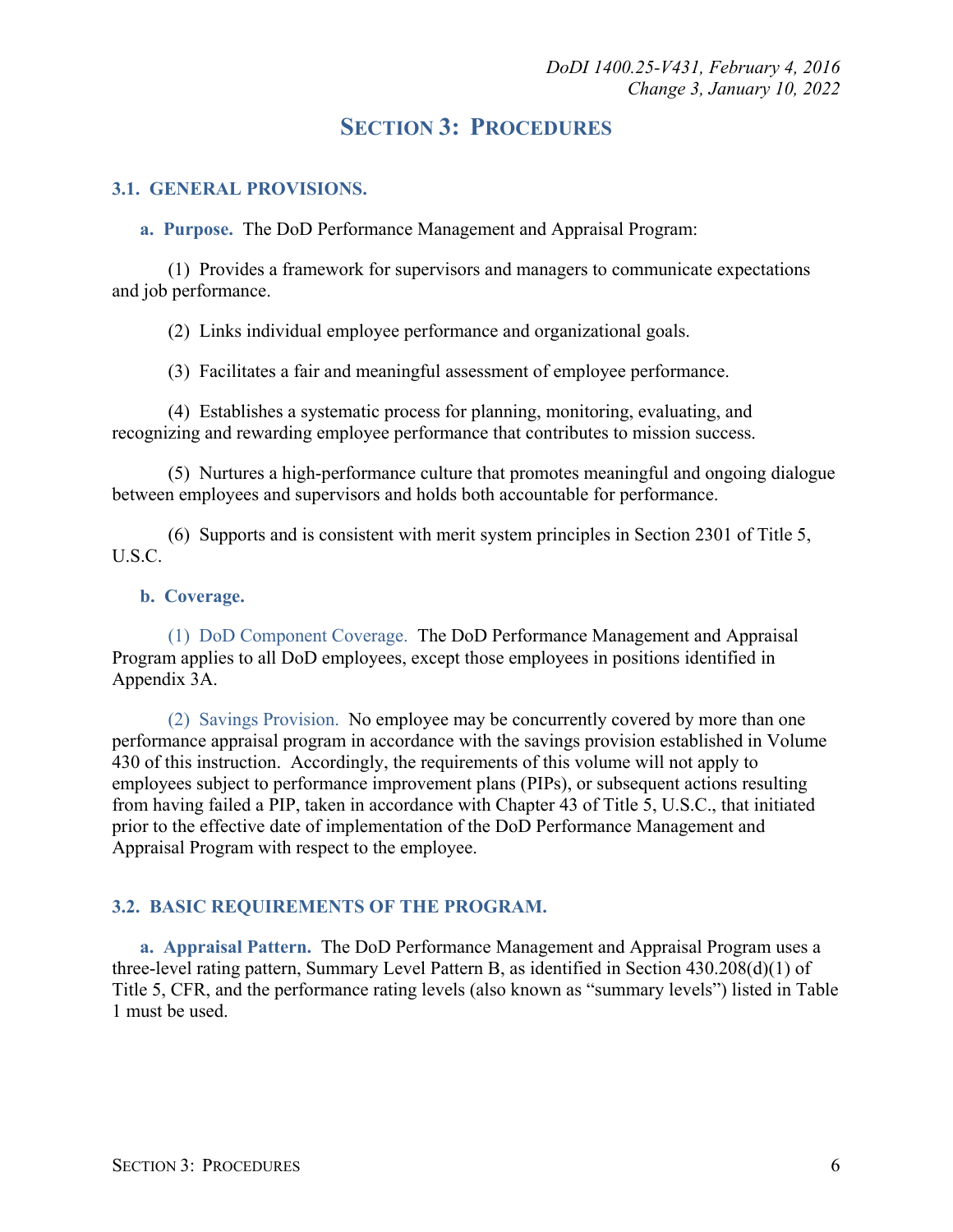## **SECTION 3: PROCEDURES**

#### <span id="page-5-1"></span><span id="page-5-0"></span>**3.1. GENERAL PROVISIONS.**

<span id="page-5-2"></span>**a. Purpose.** The DoD Performance Management and Appraisal Program:

(1) Provides a framework for supervisors and managers to communicate expectations and job performance.

(2) Links individual employee performance and organizational goals.

(3) Facilitates a fair and meaningful assessment of employee performance.

(4) Establishes a systematic process for planning, monitoring, evaluating, and recognizing and rewarding employee performance that contributes to mission success.

(5) Nurtures a high-performance culture that promotes meaningful and ongoing dialogue between employees and supervisors and holds both accountable for performance.

(6) Supports and is consistent with merit system principles in Section 2301 of Title 5, U.S.C.

#### <span id="page-5-3"></span>**b. Coverage.**

(1) DoD Component Coverage. The DoD Performance Management and Appraisal Program applies to all DoD employees, except those employees in positions identified in Appendix 3A.

(2) Savings Provision. No employee may be concurrently covered by more than one performance appraisal program in accordance with the savings provision established in Volume 430 of this instruction. Accordingly, the requirements of this volume will not apply to employees subject to performance improvement plans (PIPs), or subsequent actions resulting from having failed a PIP, taken in accordance with Chapter 43 of Title 5, U.S.C., that initiated prior to the effective date of implementation of the DoD Performance Management and Appraisal Program with respect to the employee.

#### <span id="page-5-4"></span>**3.2. BASIC REQUIREMENTS OF THE PROGRAM.**

<span id="page-5-5"></span>**a. Appraisal Pattern.** The DoD Performance Management and Appraisal Program uses a three-level rating pattern, Summary Level Pattern B, as identified in Section 430.208(d)(1) of Title 5, CFR, and the performance rating levels (also known as "summary levels") listed in Table 1 must be used.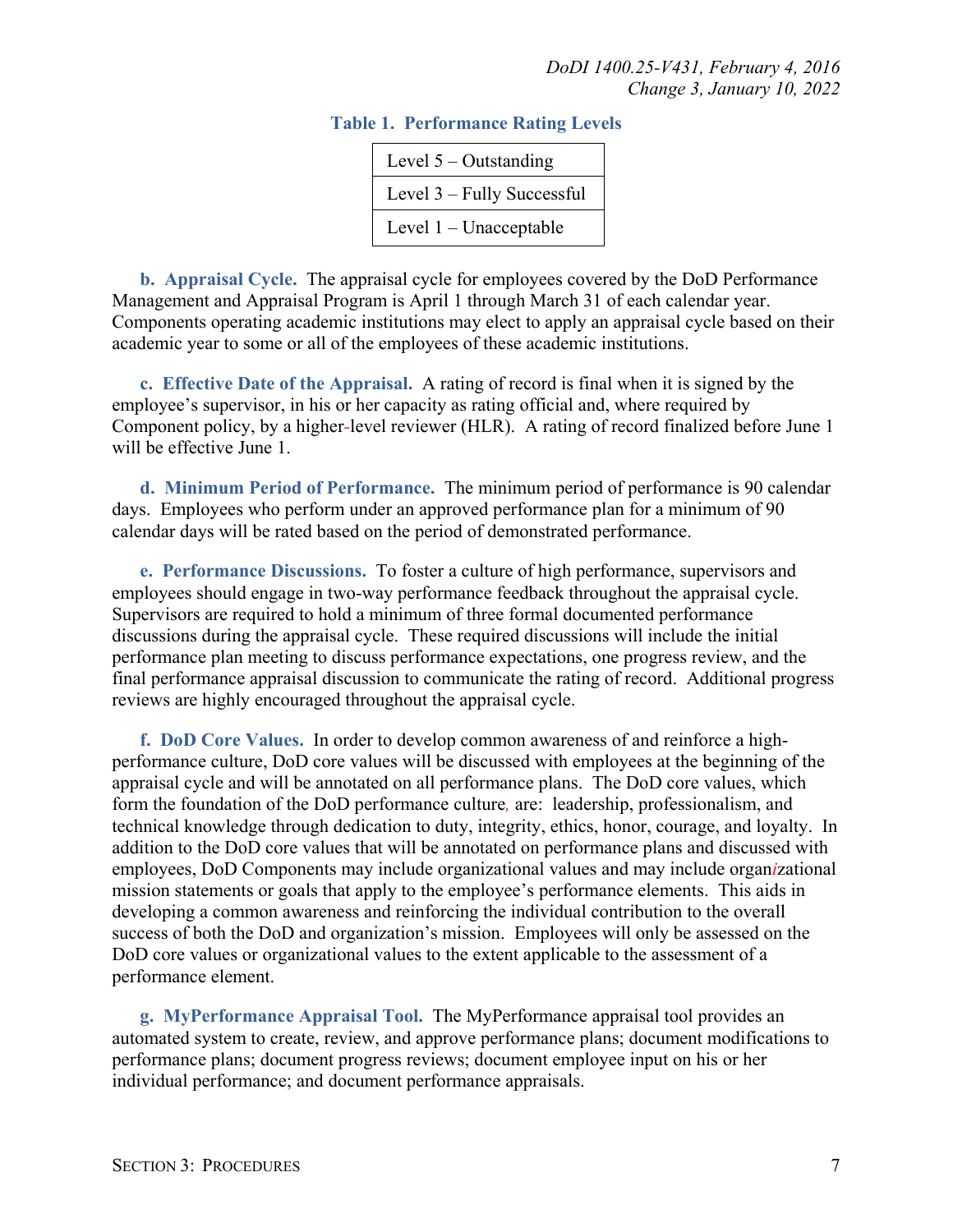| Level $5 -$ Outstanding    |
|----------------------------|
| Level 3 – Fully Successful |
| Level 1 – Unacceptable     |

#### **Table 1. Performance Rating Levels**

<span id="page-6-0"></span>**b. Appraisal Cycle.** The appraisal cycle for employees covered by the DoD Performance Management and Appraisal Program is April 1 through March 31 of each calendar year. Components operating academic institutions may elect to apply an appraisal cycle based on their academic year to some or all of the employees of these academic institutions.

<span id="page-6-1"></span>**c. Effective Date of the Appraisal.** A rating of record is final when it is signed by the employee's supervisor, in his or her capacity as rating official and, where required by Component policy, by a higher*-*level reviewer (HLR). A rating of record finalized before June 1 will be effective June 1.

<span id="page-6-2"></span>**d. Minimum Period of Performance.** The minimum period of performance is 90 calendar days. Employees who perform under an approved performance plan for a minimum of 90 calendar days will be rated based on the period of demonstrated performance.

<span id="page-6-3"></span>**e. Performance Discussions.** To foster a culture of high performance, supervisors and employees should engage in two-way performance feedback throughout the appraisal cycle. Supervisors are required to hold a minimum of three formal documented performance discussions during the appraisal cycle. These required discussions will include the initial performance plan meeting to discuss performance expectations, one progress review, and the final performance appraisal discussion to communicate the rating of record. Additional progress reviews are highly encouraged throughout the appraisal cycle.

<span id="page-6-4"></span>**f. DoD Core Values.** In order to develop common awareness of and reinforce a highperformance culture, DoD core values will be discussed with employees at the beginning of the appraisal cycle and will be annotated on all performance plans. The DoD core values, which form the foundation of the DoD performance culture*,* are: leadership, professionalism, and technical knowledge through dedication to duty, integrity, ethics, honor, courage, and loyalty. In addition to the DoD core values that will be annotated on performance plans and discussed with employees, DoD Components may include organizational values and may include organ*i*zational mission statements or goals that apply to the employee's performance elements. This aids in developing a common awareness and reinforcing the individual contribution to the overall success of both the DoD and organization's mission. Employees will only be assessed on the DoD core values or organizational values to the extent applicable to the assessment of a performance element.

<span id="page-6-5"></span>**g. MyPerformance Appraisal Tool.** The MyPerformance appraisal tool provides an automated system to create, review, and approve performance plans; document modifications to performance plans; document progress reviews; document employee input on his or her individual performance; and document performance appraisals.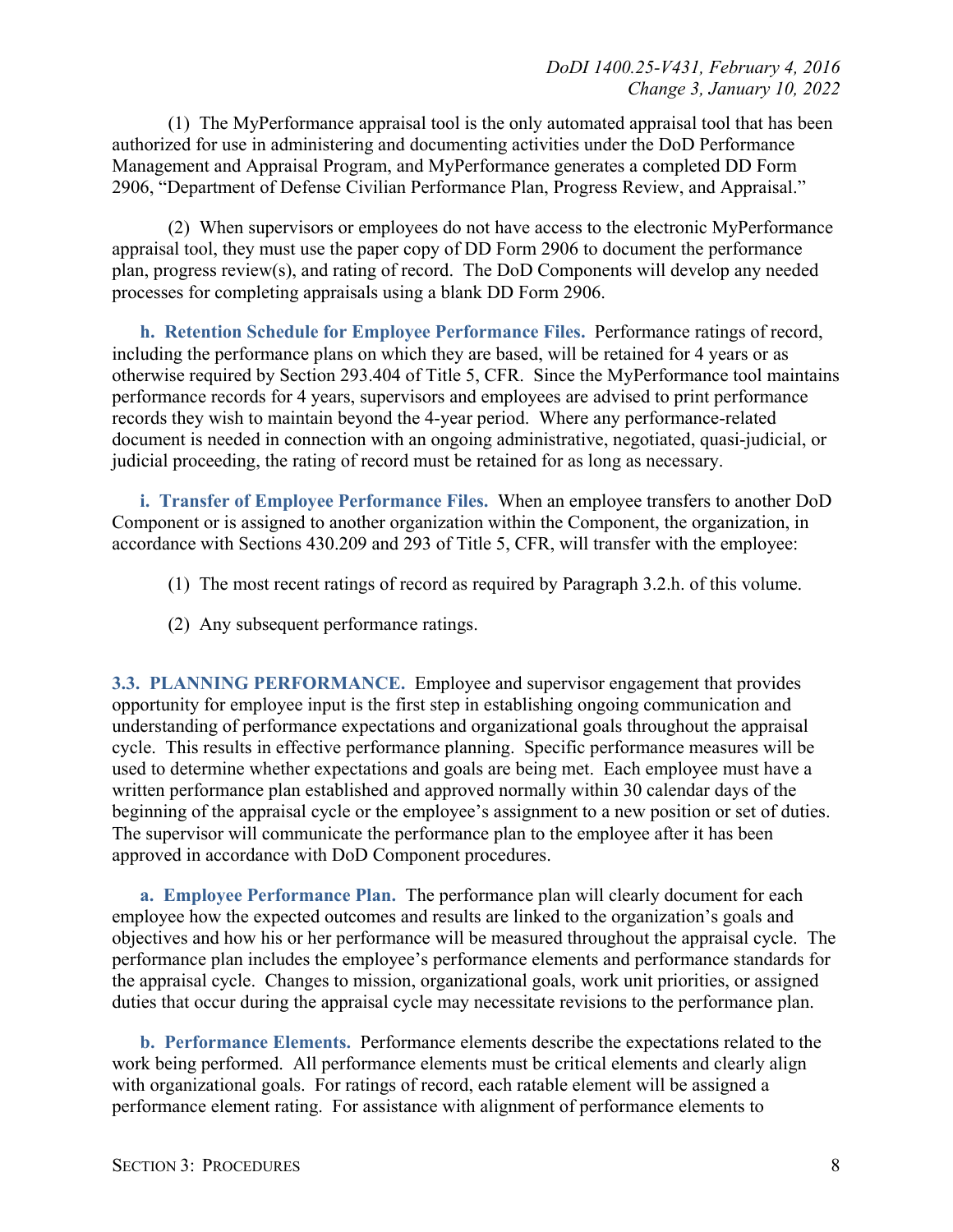(1) The MyPerformance appraisal tool is the only automated appraisal tool that has been authorized for use in administering and documenting activities under the DoD Performance Management and Appraisal Program, and MyPerformance generates a completed DD Form 2906, "Department of Defense Civilian Performance Plan, Progress Review, and Appraisal."

(2) When supervisors or employees do not have access to the electronic MyPerformance appraisal tool, they must use the paper copy of DD Form 2906 to document the performance plan, progress review(s), and rating of record. The DoD Components will develop any needed processes for completing appraisals using a blank DD Form 2906.

<span id="page-7-0"></span>**h. Retention Schedule for Employee Performance Files.** Performance ratings of record, including the performance plans on which they are based, will be retained for 4 years or as otherwise required by Section 293.404 of Title 5, CFR. Since the MyPerformance tool maintains performance records for 4 years, supervisors and employees are advised to print performance records they wish to maintain beyond the 4-year period. Where any performance-related document is needed in connection with an ongoing administrative, negotiated, quasi-judicial, or judicial proceeding, the rating of record must be retained for as long as necessary.

<span id="page-7-1"></span>**i. Transfer of Employee Performance Files.** When an employee transfers to another DoD Component or is assigned to another organization within the Component, the organization, in accordance with Sections 430.209 and 293 of Title 5, CFR, will transfer with the employee:

- (1) The most recent ratings of record as required by Paragraph 3.2.h. of this volume.
- (2) Any subsequent performance ratings.

<span id="page-7-2"></span>**3.3. PLANNING PERFORMANCE.** Employee and supervisor engagement that provides opportunity for employee input is the first step in establishing ongoing communication and understanding of performance expectations and organizational goals throughout the appraisal cycle. This results in effective performance planning. Specific performance measures will be used to determine whether expectations and goals are being met. Each employee must have a written performance plan established and approved normally within 30 calendar days of the beginning of the appraisal cycle or the employee's assignment to a new position or set of duties. The supervisor will communicate the performance plan to the employee after it has been approved in accordance with DoD Component procedures.

<span id="page-7-3"></span>**a. Employee Performance Plan.** The performance plan will clearly document for each employee how the expected outcomes and results are linked to the organization's goals and objectives and how his or her performance will be measured throughout the appraisal cycle. The performance plan includes the employee's performance elements and performance standards for the appraisal cycle. Changes to mission, organizational goals, work unit priorities, or assigned duties that occur during the appraisal cycle may necessitate revisions to the performance plan.

<span id="page-7-4"></span>**b. Performance Elements.** Performance elements describe the expectations related to the work being performed. All performance elements must be critical elements and clearly align with organizational goals. For ratings of record, each ratable element will be assigned a performance element rating. For assistance with alignment of performance elements to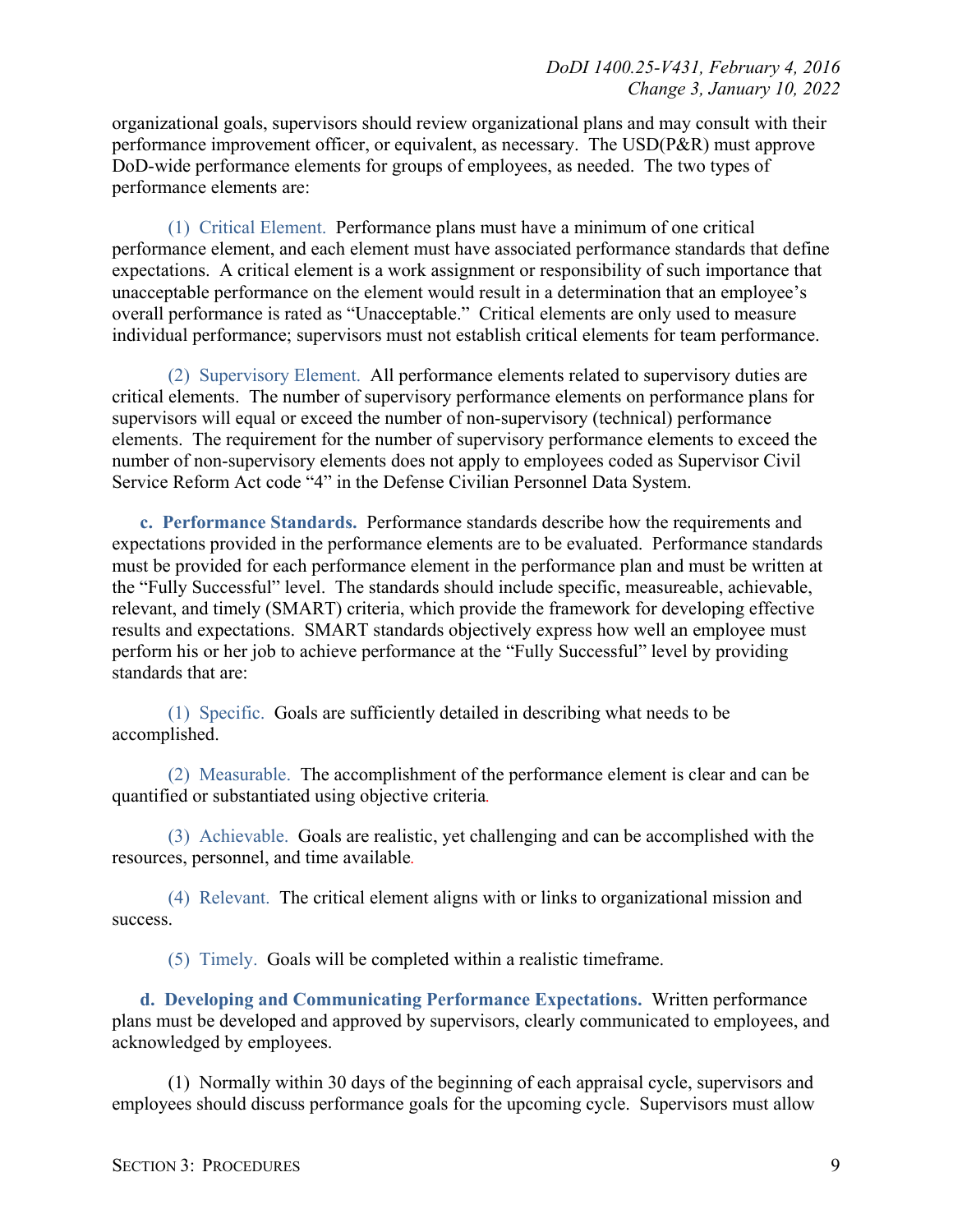organizational goals, supervisors should review organizational plans and may consult with their performance improvement officer, or equivalent, as necessary. The USD(P&R) must approve DoD-wide performance elements for groups of employees, as needed. The two types of performance elements are:

(1) Critical Element. Performance plans must have a minimum of one critical performance element, and each element must have associated performance standards that define expectations. A critical element is a work assignment or responsibility of such importance that unacceptable performance on the element would result in a determination that an employee's overall performance is rated as "Unacceptable." Critical elements are only used to measure individual performance; supervisors must not establish critical elements for team performance.

(2) Supervisory Element. All performance elements related to supervisory duties are critical elements. The number of supervisory performance elements on performance plans for supervisors will equal or exceed the number of non-supervisory (technical) performance elements. The requirement for the number of supervisory performance elements to exceed the number of non-supervisory elements does not apply to employees coded as Supervisor Civil Service Reform Act code "4" in the Defense Civilian Personnel Data System.

<span id="page-8-0"></span>**c. Performance Standards.** Performance standards describe how the requirements and expectations provided in the performance elements are to be evaluated. Performance standards must be provided for each performance element in the performance plan and must be written at the "Fully Successful" level. The standards should include specific, measureable, achievable, relevant, and timely (SMART) criteria, which provide the framework for developing effective results and expectations. SMART standards objectively express how well an employee must perform his or her job to achieve performance at the "Fully Successful" level by providing standards that are:

(1) Specific. Goals are sufficiently detailed in describing what needs to be accomplished.

(2) Measurable. The accomplishment of the performance element is clear and can be quantified or substantiated using objective criteria*.*

(3) Achievable. Goals are realistic, yet challenging and can be accomplished with the resources, personnel, and time available*.*

(4) Relevant. The critical element aligns with or links to organizational mission and success.

(5) Timely. Goals will be completed within a realistic timeframe.

<span id="page-8-1"></span>**d. Developing and Communicating Performance Expectations.** Written performance plans must be developed and approved by supervisors, clearly communicated to employees, and acknowledged by employees.

(1) Normally within 30 days of the beginning of each appraisal cycle, supervisors and employees should discuss performance goals for the upcoming cycle. Supervisors must allow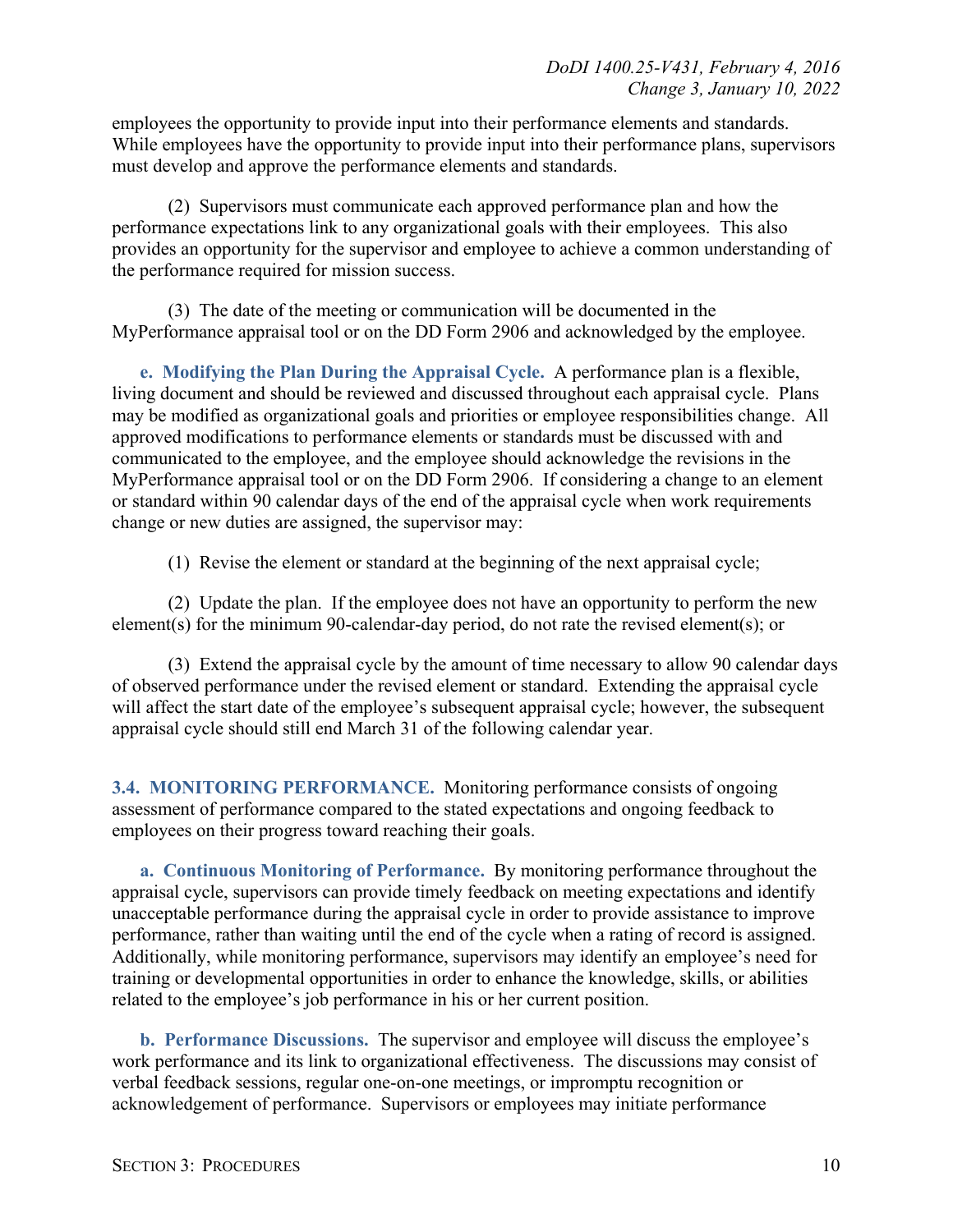employees the opportunity to provide input into their performance elements and standards. While employees have the opportunity to provide input into their performance plans, supervisors must develop and approve the performance elements and standards.

(2) Supervisors must communicate each approved performance plan and how the performance expectations link to any organizational goals with their employees. This also provides an opportunity for the supervisor and employee to achieve a common understanding of the performance required for mission success.

(3) The date of the meeting or communication will be documented in the MyPerformance appraisal tool or on the DD Form 2906 and acknowledged by the employee.

<span id="page-9-0"></span>**e. Modifying the Plan During the Appraisal Cycle.** A performance plan is a flexible, living document and should be reviewed and discussed throughout each appraisal cycle. Plans may be modified as organizational goals and priorities or employee responsibilities change. All approved modifications to performance elements or standards must be discussed with and communicated to the employee, and the employee should acknowledge the revisions in the MyPerformance appraisal tool or on the DD Form 2906. If considering a change to an element or standard within 90 calendar days of the end of the appraisal cycle when work requirements change or new duties are assigned, the supervisor may:

(1) Revise the element or standard at the beginning of the next appraisal cycle;

(2) Update the plan. If the employee does not have an opportunity to perform the new element(s) for the minimum 90-calendar-day period, do not rate the revised element(s); or

(3) Extend the appraisal cycle by the amount of time necessary to allow 90 calendar days of observed performance under the revised element or standard. Extending the appraisal cycle will affect the start date of the employee's subsequent appraisal cycle; however, the subsequent appraisal cycle should still end March 31 of the following calendar year.

<span id="page-9-1"></span>**3.4. MONITORING PERFORMANCE.** Monitoring performance consists of ongoing assessment of performance compared to the stated expectations and ongoing feedback to employees on their progress toward reaching their goals.

<span id="page-9-2"></span>**a. Continuous Monitoring of Performance.** By monitoring performance throughout the appraisal cycle, supervisors can provide timely feedback on meeting expectations and identify unacceptable performance during the appraisal cycle in order to provide assistance to improve performance, rather than waiting until the end of the cycle when a rating of record is assigned. Additionally, while monitoring performance, supervisors may identify an employee's need for training or developmental opportunities in order to enhance the knowledge, skills, or abilities related to the employee's job performance in his or her current position.

<span id="page-9-3"></span>**b. Performance Discussions.** The supervisor and employee will discuss the employee's work performance and its link to organizational effectiveness. The discussions may consist of verbal feedback sessions, regular one-on-one meetings, or impromptu recognition or acknowledgement of performance. Supervisors or employees may initiate performance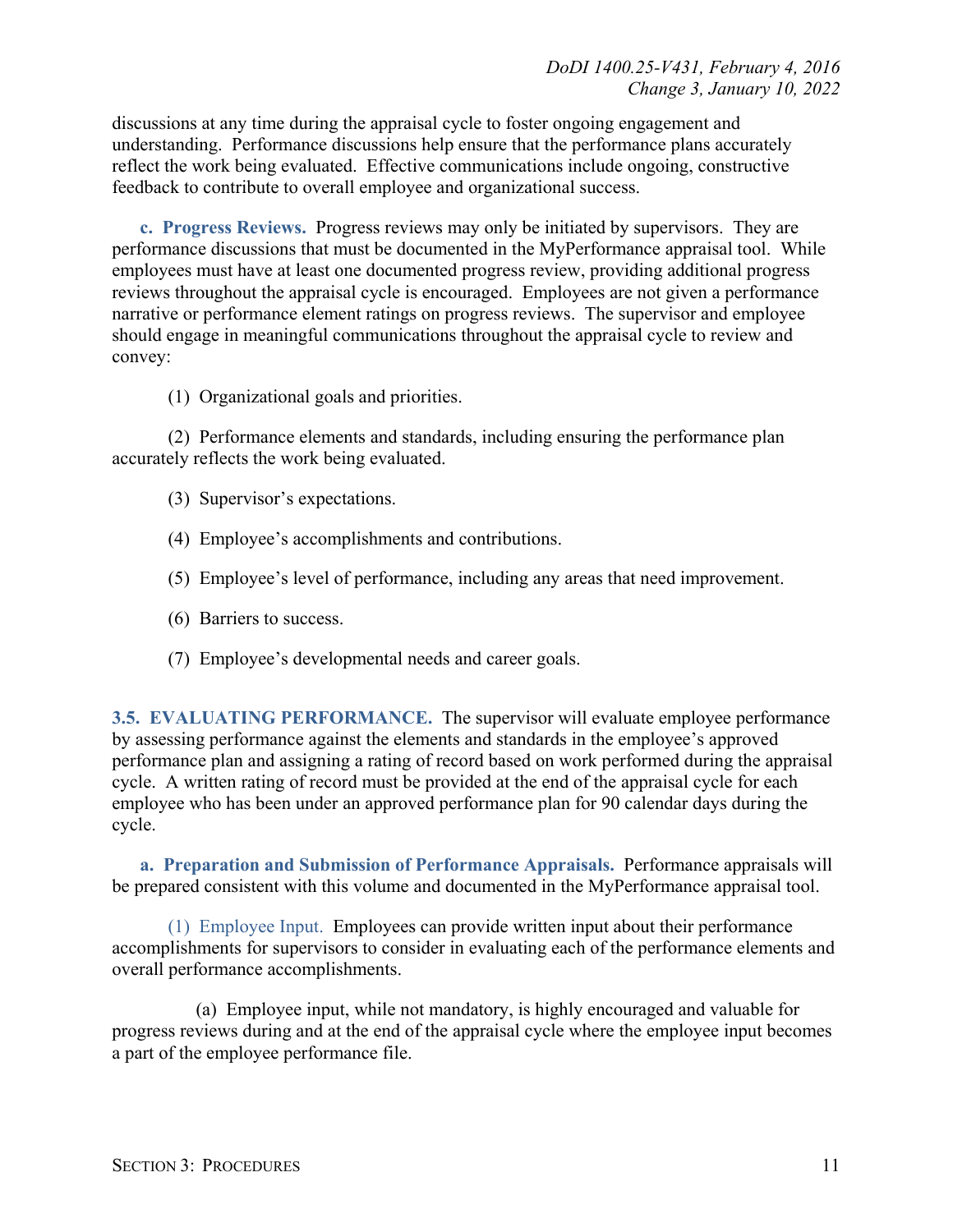discussions at any time during the appraisal cycle to foster ongoing engagement and understanding. Performance discussions help ensure that the performance plans accurately reflect the work being evaluated. Effective communications include ongoing, constructive feedback to contribute to overall employee and organizational success.

<span id="page-10-0"></span>**c. Progress Reviews.** Progress reviews may only be initiated by supervisors. They are performance discussions that must be documented in the MyPerformance appraisal tool. While employees must have at least one documented progress review, providing additional progress reviews throughout the appraisal cycle is encouraged. Employees are not given a performance narrative or performance element ratings on progress reviews. The supervisor and employee should engage in meaningful communications throughout the appraisal cycle to review and convey:

(1) Organizational goals and priorities.

(2) Performance elements and standards, including ensuring the performance plan accurately reflects the work being evaluated.

- (3) Supervisor's expectations.
- (4) Employee's accomplishments and contributions.
- (5) Employee's level of performance, including any areas that need improvement.
- (6) Barriers to success.
- (7) Employee's developmental needs and career goals.

<span id="page-10-1"></span>**3.5. EVALUATING PERFORMANCE.** The supervisor will evaluate employee performance by assessing performance against the elements and standards in the employee's approved performance plan and assigning a rating of record based on work performed during the appraisal cycle. A written rating of record must be provided at the end of the appraisal cycle for each employee who has been under an approved performance plan for 90 calendar days during the cycle.

<span id="page-10-2"></span>**a. Preparation and Submission of Performance Appraisals.** Performance appraisals will be prepared consistent with this volume and documented in the MyPerformance appraisal tool.

(1) Employee Input. Employees can provide written input about their performance accomplishments for supervisors to consider in evaluating each of the performance elements and overall performance accomplishments.

(a) Employee input, while not mandatory, is highly encouraged and valuable for progress reviews during and at the end of the appraisal cycle where the employee input becomes a part of the employee performance file.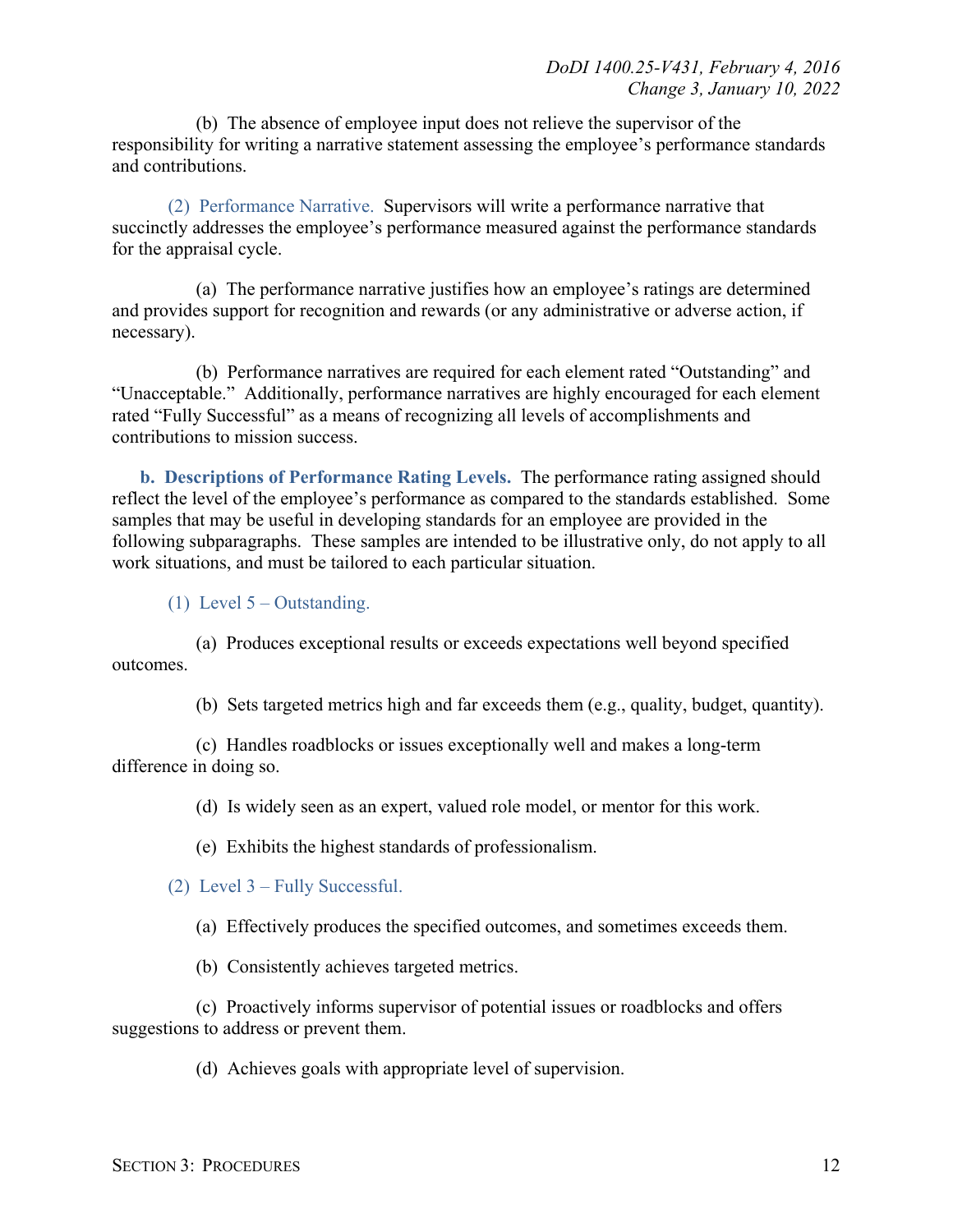(b) The absence of employee input does not relieve the supervisor of the responsibility for writing a narrative statement assessing the employee's performance standards and contributions.

(2) Performance Narrative. Supervisors will write a performance narrative that succinctly addresses the employee's performance measured against the performance standards for the appraisal cycle.

(a) The performance narrative justifies how an employee's ratings are determined and provides support for recognition and rewards (or any administrative or adverse action, if necessary).

(b) Performance narratives are required for each element rated "Outstanding" and "Unacceptable." Additionally, performance narratives are highly encouraged for each element rated "Fully Successful" as a means of recognizing all levels of accomplishments and contributions to mission success.

<span id="page-11-0"></span>**b. Descriptions of Performance Rating Levels.** The performance rating assigned should reflect the level of the employee's performance as compared to the standards established. Some samples that may be useful in developing standards for an employee are provided in the following subparagraphs. These samples are intended to be illustrative only, do not apply to all work situations, and must be tailored to each particular situation.

(1) Level  $5 -$ Outstanding.

(a) Produces exceptional results or exceeds expectations well beyond specified outcomes.

(b) Sets targeted metrics high and far exceeds them (e.g., quality, budget, quantity).

(c) Handles roadblocks or issues exceptionally well and makes a long-term difference in doing so.

(d) Is widely seen as an expert, valued role model, or mentor for this work.

(e) Exhibits the highest standards of professionalism.

(2) Level 3 – Fully Successful.

(a) Effectively produces the specified outcomes, and sometimes exceeds them.

(b) Consistently achieves targeted metrics.

(c) Proactively informs supervisor of potential issues or roadblocks and offers suggestions to address or prevent them.

(d) Achieves goals with appropriate level of supervision.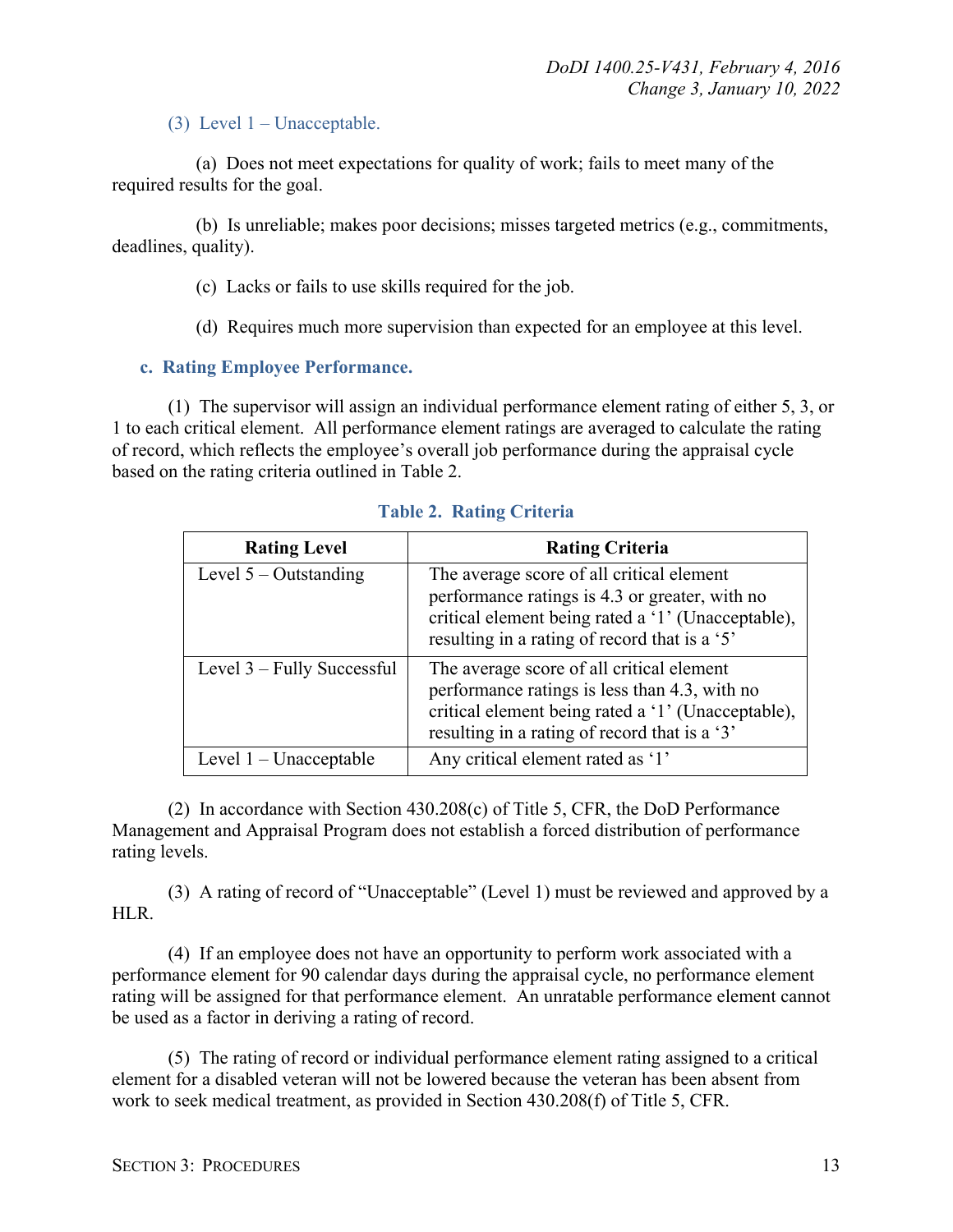#### (3) Level 1 – Unacceptable.

(a) Does not meet expectations for quality of work; fails to meet many of the required results for the goal.

(b) Is unreliable; makes poor decisions; misses targeted metrics (e.g., commitments, deadlines, quality).

(c) Lacks or fails to use skills required for the job.

(d) Requires much more supervision than expected for an employee at this level.

#### <span id="page-12-0"></span>**c. Rating Employee Performance.**

(1) The supervisor will assign an individual performance element rating of either 5, 3, or 1 to each critical element. All performance element ratings are averaged to calculate the rating of record, which reflects the employee's overall job performance during the appraisal cycle based on the rating criteria outlined in Table 2.

| <b>Rating Level</b>        | <b>Rating Criteria</b>                                                                                                                                                                             |
|----------------------------|----------------------------------------------------------------------------------------------------------------------------------------------------------------------------------------------------|
| Level $5 -$ Outstanding    | The average score of all critical element<br>performance ratings is 4.3 or greater, with no<br>critical element being rated a '1' (Unacceptable),<br>resulting in a rating of record that is a '5' |
| Level 3 – Fully Successful | The average score of all critical element<br>performance ratings is less than 4.3, with no<br>critical element being rated a '1' (Unacceptable),<br>resulting in a rating of record that is a '3'  |
| Level $1$ – Unacceptable   | Any critical element rated as '1'                                                                                                                                                                  |

**Table 2. Rating Criteria**

(2) In accordance with Section 430.208(c) of Title 5, CFR, the DoD Performance Management and Appraisal Program does not establish a forced distribution of performance rating levels.

(3) A rating of record of "Unacceptable" (Level 1) must be reviewed and approved by a HLR.

(4) If an employee does not have an opportunity to perform work associated with a performance element for 90 calendar days during the appraisal cycle, no performance element rating will be assigned for that performance element. An unratable performance element cannot be used as a factor in deriving a rating of record.

(5) The rating of record or individual performance element rating assigned to a critical element for a disabled veteran will not be lowered because the veteran has been absent from work to seek medical treatment, as provided in Section 430.208(f) of Title 5, CFR.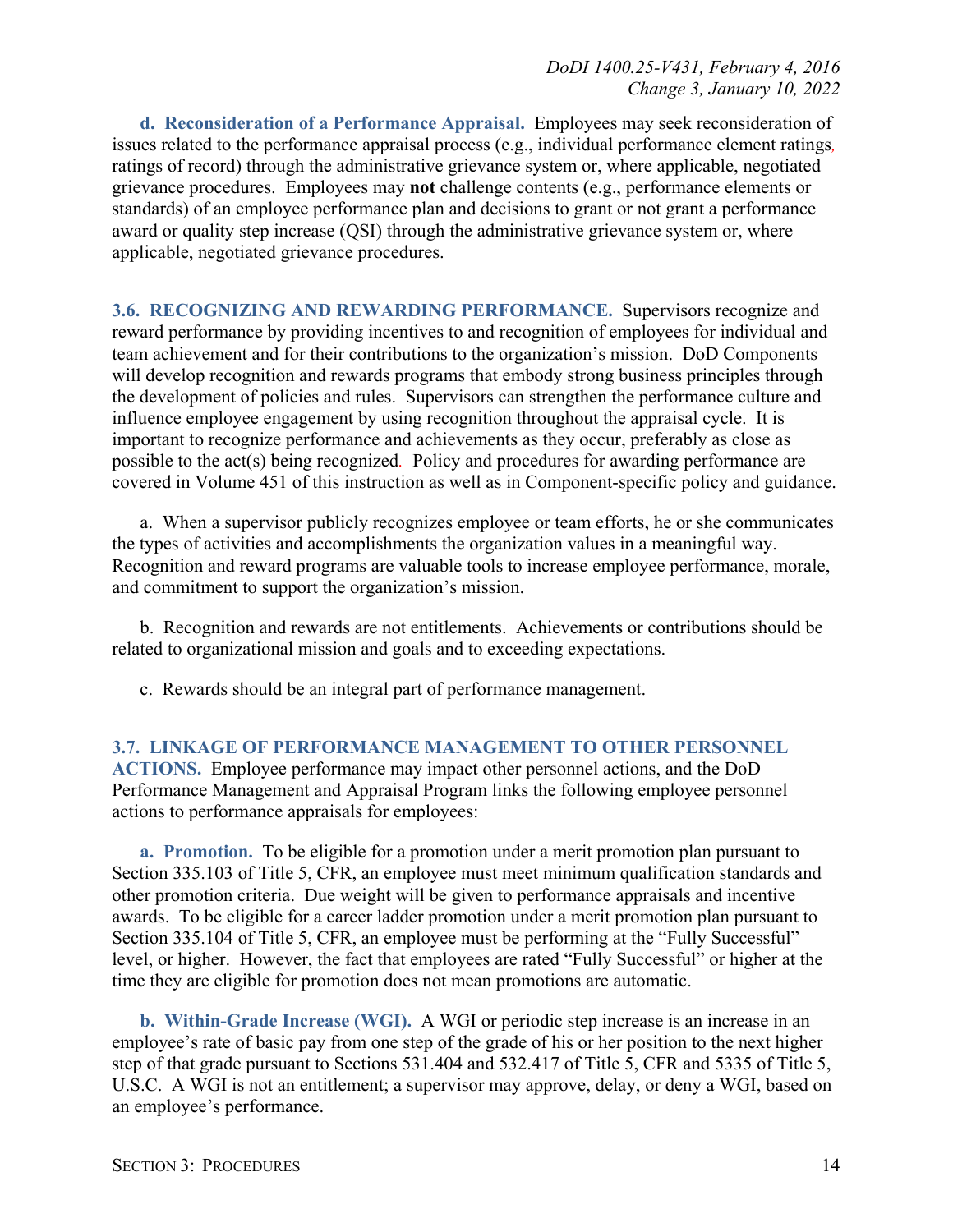<span id="page-13-0"></span>**d. Reconsideration of a Performance Appraisal.** Employees may seek reconsideration of issues related to the performance appraisal process (e.g., individual performance element ratings*,* ratings of record) through the administrative grievance system or, where applicable, negotiated grievance procedures. Employees may **not** challenge contents (e.g., performance elements or standards) of an employee performance plan and decisions to grant or not grant a performance award or quality step increase (QSI) through the administrative grievance system or, where applicable, negotiated grievance procedures.

<span id="page-13-1"></span>**3.6. RECOGNIZING AND REWARDING PERFORMANCE.** Supervisors recognize and reward performance by providing incentives to and recognition of employees for individual and team achievement and for their contributions to the organization's mission. DoD Components will develop recognition and rewards programs that embody strong business principles through the development of policies and rules. Supervisors can strengthen the performance culture and influence employee engagement by using recognition throughout the appraisal cycle. It is important to recognize performance and achievements as they occur, preferably as close as possible to the act(s) being recognized*.* Policy and procedures for awarding performance are covered in Volume 451 of this instruction as well as in Component-specific policy and guidance.

a. When a supervisor publicly recognizes employee or team efforts, he or she communicates the types of activities and accomplishments the organization values in a meaningful way. Recognition and reward programs are valuable tools to increase employee performance, morale, and commitment to support the organization's mission.

b. Recognition and rewards are not entitlements. Achievements or contributions should be related to organizational mission and goals and to exceeding expectations.

c. Rewards should be an integral part of performance management.

<span id="page-13-2"></span>**3.7. LINKAGE OF PERFORMANCE MANAGEMENT TO OTHER PERSONNEL ACTIONS.** Employee performance may impact other personnel actions, and the DoD Performance Management and Appraisal Program links the following employee personnel actions to performance appraisals for employees:

<span id="page-13-3"></span>**a. Promotion.** To be eligible for a promotion under a merit promotion plan pursuant to Section 335.103 of Title 5, CFR, an employee must meet minimum qualification standards and other promotion criteria. Due weight will be given to performance appraisals and incentive awards. To be eligible for a career ladder promotion under a merit promotion plan pursuant to Section 335.104 of Title 5, CFR, an employee must be performing at the "Fully Successful" level, or higher. However, the fact that employees are rated "Fully Successful" or higher at the time they are eligible for promotion does not mean promotions are automatic.

<span id="page-13-4"></span>**b. Within-Grade Increase (WGI).** A WGI or periodic step increase is an increase in an employee's rate of basic pay from one step of the grade of his or her position to the next higher step of that grade pursuant to Sections 531.404 and 532.417 of Title 5, CFR and 5335 of Title 5, U.S.C. A WGI is not an entitlement; a supervisor may approve, delay, or deny a WGI, based on an employee's performance.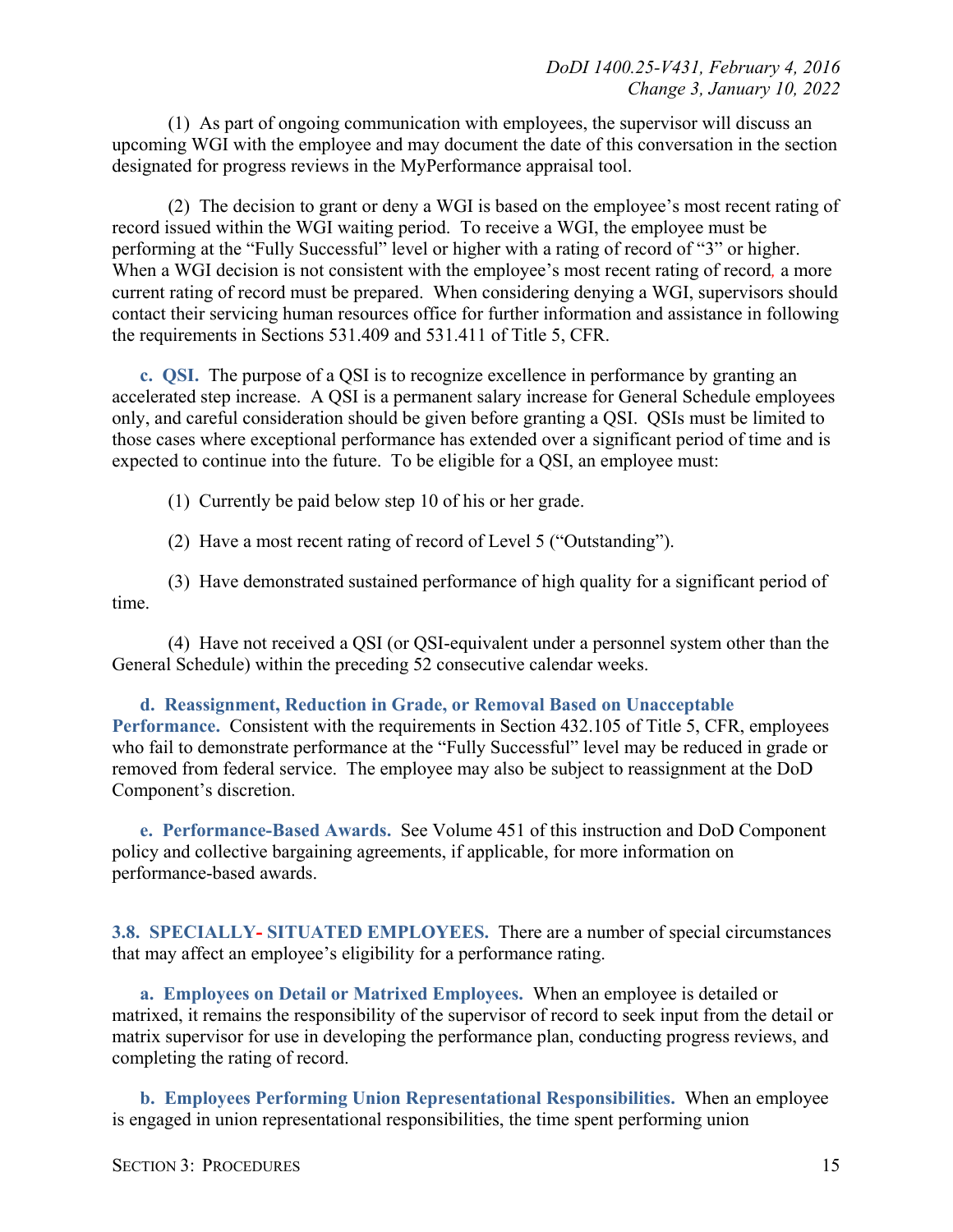(1) As part of ongoing communication with employees, the supervisor will discuss an upcoming WGI with the employee and may document the date of this conversation in the section designated for progress reviews in the MyPerformance appraisal tool.

(2) The decision to grant or deny a WGI is based on the employee's most recent rating of record issued within the WGI waiting period. To receive a WGI, the employee must be performing at the "Fully Successful" level or higher with a rating of record of "3" or higher. When a WGI decision is not consistent with the employee's most recent rating of record*,* a more current rating of record must be prepared. When considering denying a WGI, supervisors should contact their servicing human resources office for further information and assistance in following the requirements in Sections 531.409 and 531.411 of Title 5, CFR.

<span id="page-14-0"></span>**c. QSI.** The purpose of a QSI is to recognize excellence in performance by granting an accelerated step increase. A QSI is a permanent salary increase for General Schedule employees only, and careful consideration should be given before granting a QSI. QSIs must be limited to those cases where exceptional performance has extended over a significant period of time and is expected to continue into the future. To be eligible for a QSI, an employee must:

(1) Currently be paid below step 10 of his or her grade.

(2) Have a most recent rating of record of Level 5 ("Outstanding").

(3) Have demonstrated sustained performance of high quality for a significant period of time.

(4) Have not received a QSI (or QSI-equivalent under a personnel system other than the General Schedule) within the preceding 52 consecutive calendar weeks.

<span id="page-14-1"></span>**d. Reassignment, Reduction in Grade, or Removal Based on Unacceptable Performance.** Consistent with the requirements in Section 432.105 of Title 5, CFR, employees who fail to demonstrate performance at the "Fully Successful" level may be reduced in grade or removed from federal service. The employee may also be subject to reassignment at the DoD Component's discretion.

<span id="page-14-2"></span>**e. Performance-Based Awards.** See Volume 451 of this instruction and DoD Component policy and collective bargaining agreements, if applicable, for more information on performance-based awards.

<span id="page-14-3"></span>**3.8. SPECIALLY- SITUATED EMPLOYEES.** There are a number of special circumstances that may affect an employee's eligibility for a performance rating.

<span id="page-14-4"></span>**a. Employees on Detail or Matrixed Employees.** When an employee is detailed or matrixed, it remains the responsibility of the supervisor of record to seek input from the detail or matrix supervisor for use in developing the performance plan, conducting progress reviews, and completing the rating of record.

<span id="page-14-5"></span>**b. Employees Performing Union Representational Responsibilities.** When an employee is engaged in union representational responsibilities, the time spent performing union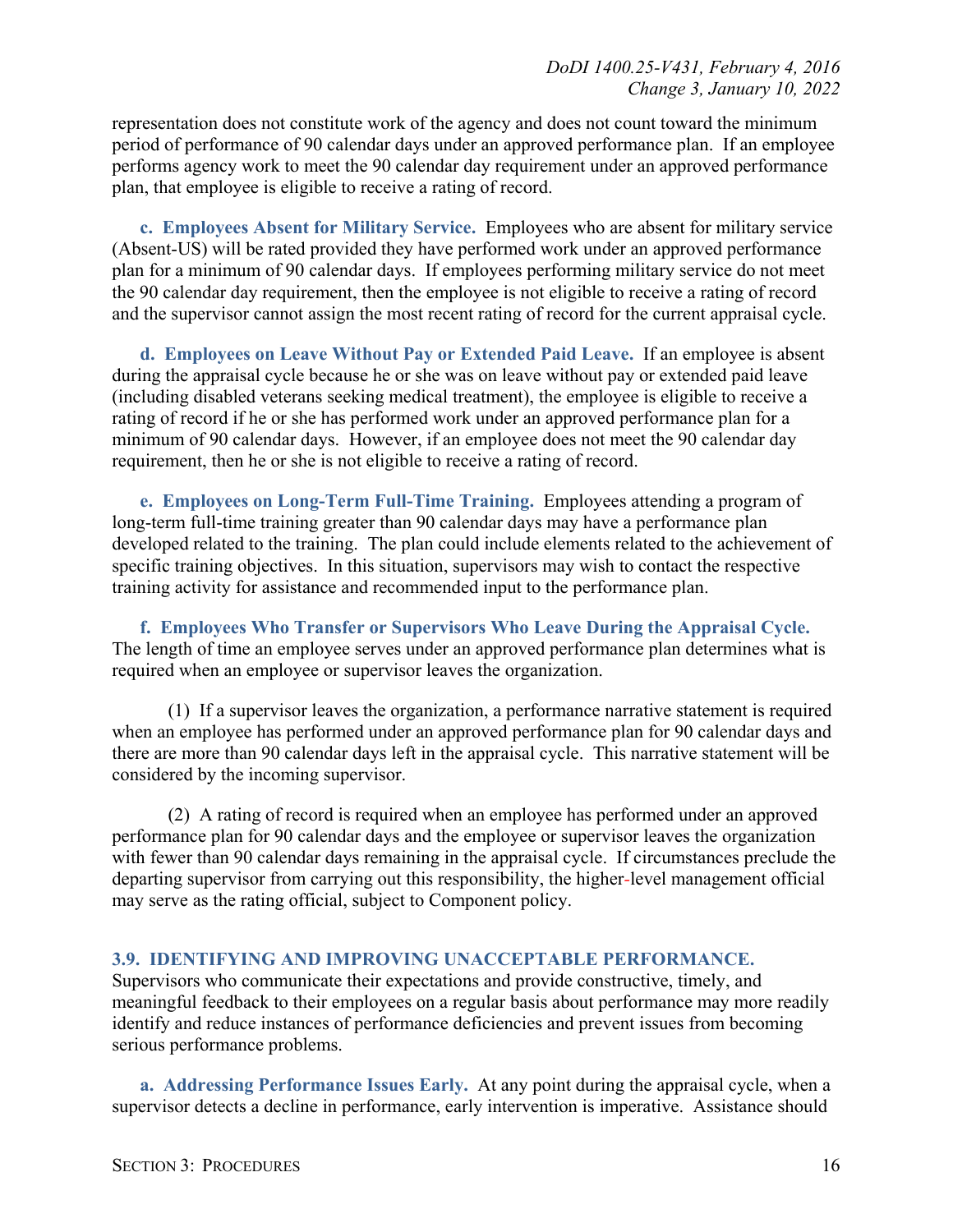representation does not constitute work of the agency and does not count toward the minimum period of performance of 90 calendar days under an approved performance plan. If an employee performs agency work to meet the 90 calendar day requirement under an approved performance plan, that employee is eligible to receive a rating of record.

<span id="page-15-0"></span>**c. Employees Absent for Military Service.** Employees who are absent for military service (Absent-US) will be rated provided they have performed work under an approved performance plan for a minimum of 90 calendar days. If employees performing military service do not meet the 90 calendar day requirement, then the employee is not eligible to receive a rating of record and the supervisor cannot assign the most recent rating of record for the current appraisal cycle.

<span id="page-15-1"></span>**d. Employees on Leave Without Pay or Extended Paid Leave.** If an employee is absent during the appraisal cycle because he or she was on leave without pay or extended paid leave (including disabled veterans seeking medical treatment), the employee is eligible to receive a rating of record if he or she has performed work under an approved performance plan for a minimum of 90 calendar days. However, if an employee does not meet the 90 calendar day requirement, then he or she is not eligible to receive a rating of record.

<span id="page-15-2"></span>**e. Employees on Long-Term Full-Time Training.** Employees attending a program of long-term full-time training greater than 90 calendar days may have a performance plan developed related to the training. The plan could include elements related to the achievement of specific training objectives. In this situation, supervisors may wish to contact the respective training activity for assistance and recommended input to the performance plan.

<span id="page-15-3"></span>**f. Employees Who Transfer or Supervisors Who Leave During the Appraisal Cycle.**  The length of time an employee serves under an approved performance plan determines what is required when an employee or supervisor leaves the organization.

(1) If a supervisor leaves the organization, a performance narrative statement is required when an employee has performed under an approved performance plan for 90 calendar days and there are more than 90 calendar days left in the appraisal cycle. This narrative statement will be considered by the incoming supervisor.

(2) A rating of record is required when an employee has performed under an approved performance plan for 90 calendar days and the employee or supervisor leaves the organization with fewer than 90 calendar days remaining in the appraisal cycle. If circumstances preclude the departing supervisor from carrying out this responsibility, the higher*-*level management official may serve as the rating official, subject to Component policy.

#### <span id="page-15-4"></span>**3.9. IDENTIFYING AND IMPROVING UNACCEPTABLE PERFORMANCE.**

Supervisors who communicate their expectations and provide constructive, timely, and meaningful feedback to their employees on a regular basis about performance may more readily identify and reduce instances of performance deficiencies and prevent issues from becoming serious performance problems.

<span id="page-15-5"></span>**a. Addressing Performance Issues Early.** At any point during the appraisal cycle, when a supervisor detects a decline in performance, early intervention is imperative. Assistance should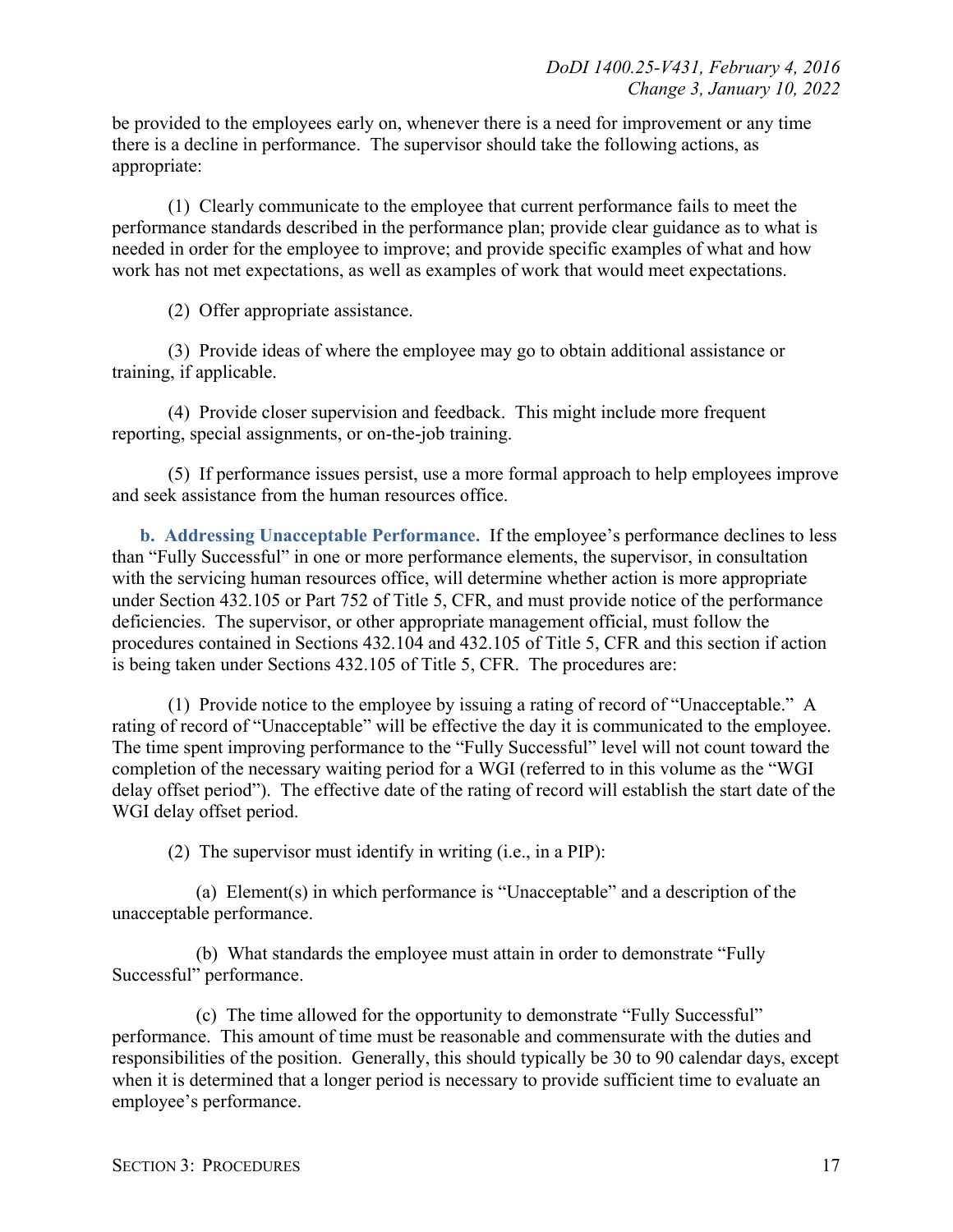be provided to the employees early on, whenever there is a need for improvement or any time there is a decline in performance. The supervisor should take the following actions, as appropriate:

(1) Clearly communicate to the employee that current performance fails to meet the performance standards described in the performance plan; provide clear guidance as to what is needed in order for the employee to improve; and provide specific examples of what and how work has not met expectations, as well as examples of work that would meet expectations.

(2) Offer appropriate assistance.

(3) Provide ideas of where the employee may go to obtain additional assistance or training, if applicable.

(4) Provide closer supervision and feedback. This might include more frequent reporting, special assignments, or on-the-job training.

(5) If performance issues persist, use a more formal approach to help employees improve and seek assistance from the human resources office.

<span id="page-16-0"></span>**b. Addressing Unacceptable Performance.** If the employee's performance declines to less than "Fully Successful" in one or more performance elements, the supervisor, in consultation with the servicing human resources office, will determine whether action is more appropriate under Section 432.105 or Part 752 of Title 5, CFR, and must provide notice of the performance deficiencies. The supervisor, or other appropriate management official, must follow the procedures contained in Sections 432.104 and 432.105 of Title 5, CFR and this section if action is being taken under Sections 432.105 of Title 5, CFR. The procedures are:

(1) Provide notice to the employee by issuing a rating of record of "Unacceptable." A rating of record of "Unacceptable" will be effective the day it is communicated to the employee. The time spent improving performance to the "Fully Successful" level will not count toward the completion of the necessary waiting period for a WGI (referred to in this volume as the "WGI delay offset period"). The effective date of the rating of record will establish the start date of the WGI delay offset period.

(2) The supervisor must identify in writing (i.e., in a PIP):

(a) Element(s) in which performance is "Unacceptable" and a description of the unacceptable performance.

(b) What standards the employee must attain in order to demonstrate "Fully Successful" performance.

(c) The time allowed for the opportunity to demonstrate "Fully Successful" performance. This amount of time must be reasonable and commensurate with the duties and responsibilities of the position. Generally, this should typically be 30 to 90 calendar days, except when it is determined that a longer period is necessary to provide sufficient time to evaluate an employee's performance.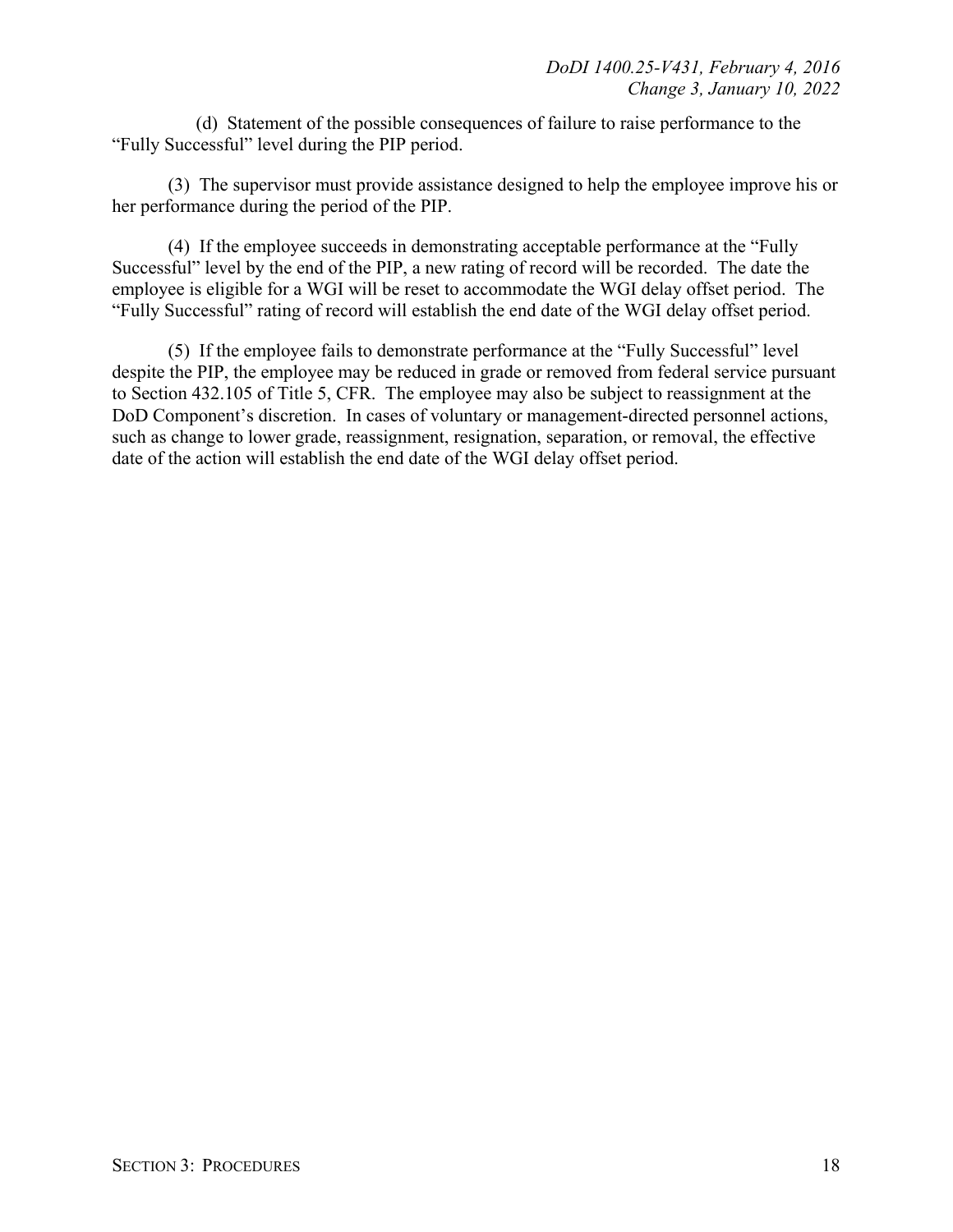(d) Statement of the possible consequences of failure to raise performance to the "Fully Successful" level during the PIP period.

(3) The supervisor must provide assistance designed to help the employee improve his or her performance during the period of the PIP.

(4) If the employee succeeds in demonstrating acceptable performance at the "Fully Successful" level by the end of the PIP, a new rating of record will be recorded. The date the employee is eligible for a WGI will be reset to accommodate the WGI delay offset period. The "Fully Successful" rating of record will establish the end date of the WGI delay offset period.

(5) If the employee fails to demonstrate performance at the "Fully Successful" level despite the PIP, the employee may be reduced in grade or removed from federal service pursuant to Section 432.105 of Title 5, CFR. The employee may also be subject to reassignment at the DoD Component's discretion. In cases of voluntary or management-directed personnel actions, such as change to lower grade, reassignment, resignation, separation, or removal, the effective date of the action will establish the end date of the WGI delay offset period.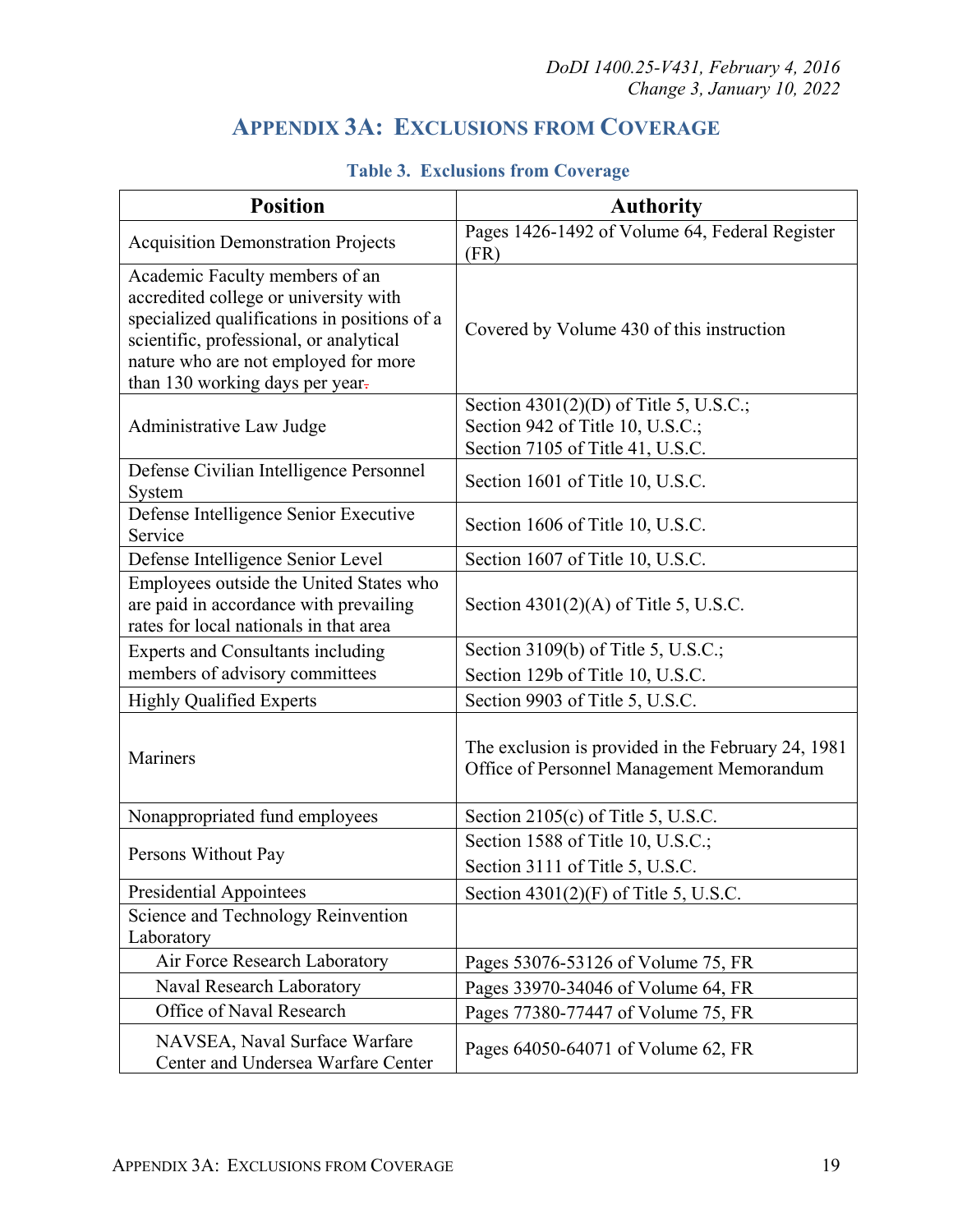# **APPENDIX 3A: EXCLUSIONS FROM COVERAGE**

<span id="page-18-0"></span>

| <b>Position</b>                                                                                                                                                                                                                               | <b>Authority</b>                                                                                                 |  |
|-----------------------------------------------------------------------------------------------------------------------------------------------------------------------------------------------------------------------------------------------|------------------------------------------------------------------------------------------------------------------|--|
| <b>Acquisition Demonstration Projects</b>                                                                                                                                                                                                     | Pages 1426-1492 of Volume 64, Federal Register<br>(FR)                                                           |  |
| Academic Faculty members of an<br>accredited college or university with<br>specialized qualifications in positions of a<br>scientific, professional, or analytical<br>nature who are not employed for more<br>than 130 working days per year- | Covered by Volume 430 of this instruction                                                                        |  |
| Administrative Law Judge                                                                                                                                                                                                                      | Section $4301(2)(D)$ of Title 5, U.S.C.;<br>Section 942 of Title 10, U.S.C.;<br>Section 7105 of Title 41, U.S.C. |  |
| Defense Civilian Intelligence Personnel<br>System                                                                                                                                                                                             | Section 1601 of Title 10, U.S.C.                                                                                 |  |
| Defense Intelligence Senior Executive<br>Service                                                                                                                                                                                              | Section 1606 of Title 10, U.S.C.                                                                                 |  |
| Defense Intelligence Senior Level                                                                                                                                                                                                             | Section 1607 of Title 10, U.S.C.                                                                                 |  |
| Employees outside the United States who<br>are paid in accordance with prevailing<br>rates for local nationals in that area                                                                                                                   | Section $4301(2)(A)$ of Title 5, U.S.C.                                                                          |  |
| <b>Experts and Consultants including</b>                                                                                                                                                                                                      | Section 3109(b) of Title 5, U.S.C.;                                                                              |  |
| members of advisory committees                                                                                                                                                                                                                | Section 129b of Title 10, U.S.C.                                                                                 |  |
| <b>Highly Qualified Experts</b>                                                                                                                                                                                                               | Section 9903 of Title 5, U.S.C.                                                                                  |  |
| Mariners                                                                                                                                                                                                                                      | The exclusion is provided in the February 24, 1981<br>Office of Personnel Management Memorandum                  |  |
| Nonappropriated fund employees                                                                                                                                                                                                                | Section 2105(c) of Title 5, U.S.C.                                                                               |  |
| Persons Without Pay                                                                                                                                                                                                                           | Section 1588 of Title 10, U.S.C.;<br>Section 3111 of Title 5, U.S.C.                                             |  |
| <b>Presidential Appointees</b>                                                                                                                                                                                                                | Section $4301(2)(F)$ of Title 5, U.S.C.                                                                          |  |
| Science and Technology Reinvention<br>Laboratory                                                                                                                                                                                              |                                                                                                                  |  |
| Air Force Research Laboratory                                                                                                                                                                                                                 | Pages 53076-53126 of Volume 75, FR                                                                               |  |
| Naval Research Laboratory                                                                                                                                                                                                                     | Pages 33970-34046 of Volume 64, FR                                                                               |  |
| Office of Naval Research                                                                                                                                                                                                                      | Pages 77380-77447 of Volume 75, FR                                                                               |  |
| NAVSEA, Naval Surface Warfare<br>Center and Undersea Warfare Center                                                                                                                                                                           | Pages 64050-64071 of Volume 62, FR                                                                               |  |

### **Table 3. Exclusions from Coverage**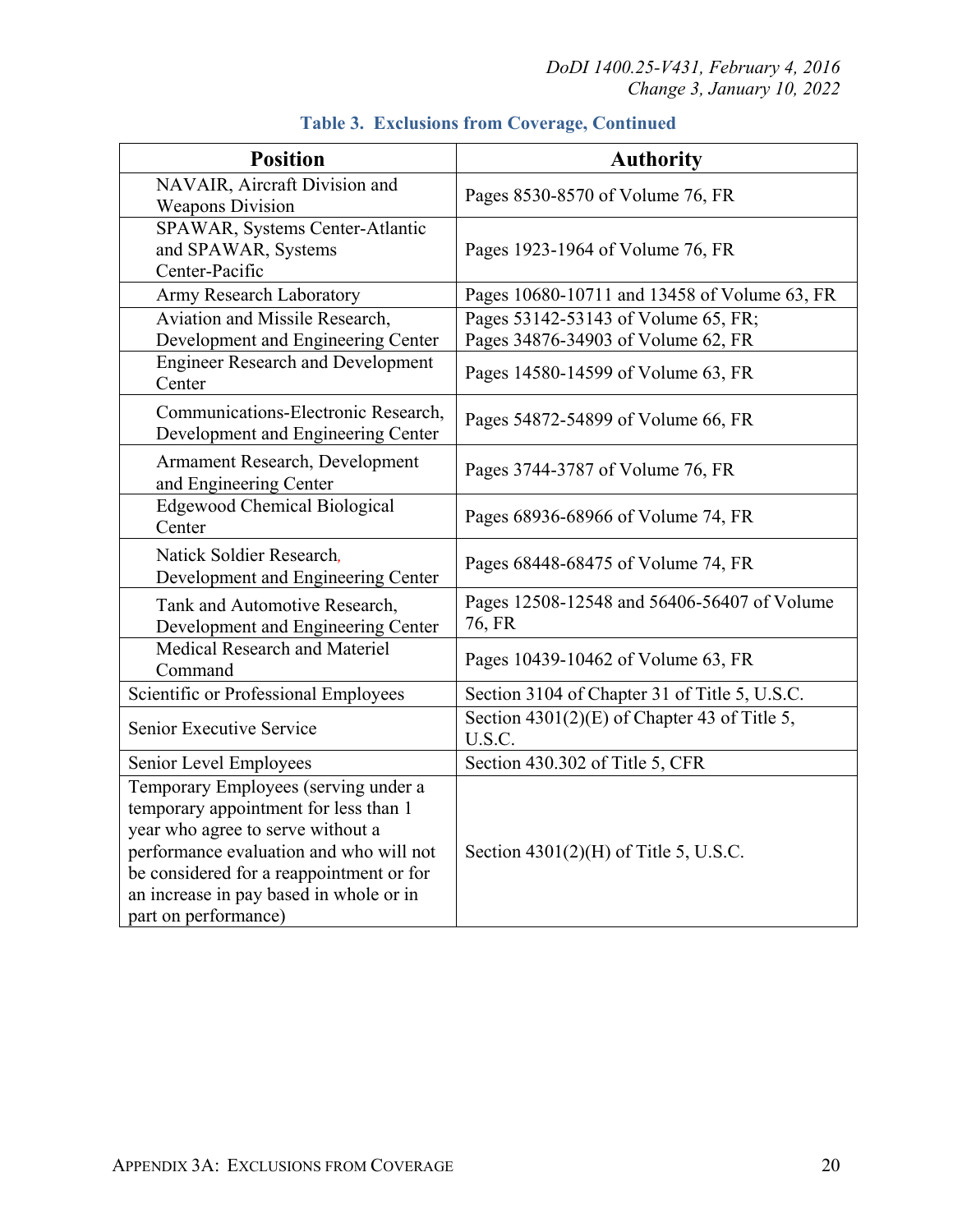| <b>Position</b>                                                                                                                                                                                                                                                              | <b>Authority</b>                                                          |
|------------------------------------------------------------------------------------------------------------------------------------------------------------------------------------------------------------------------------------------------------------------------------|---------------------------------------------------------------------------|
| NAVAIR, Aircraft Division and<br><b>Weapons Division</b>                                                                                                                                                                                                                     | Pages 8530-8570 of Volume 76, FR                                          |
| SPAWAR, Systems Center-Atlantic<br>and SPAWAR, Systems<br>Center-Pacific                                                                                                                                                                                                     | Pages 1923-1964 of Volume 76, FR                                          |
| Army Research Laboratory                                                                                                                                                                                                                                                     | Pages 10680-10711 and 13458 of Volume 63, FR                              |
| Aviation and Missile Research,<br>Development and Engineering Center                                                                                                                                                                                                         | Pages 53142-53143 of Volume 65, FR;<br>Pages 34876-34903 of Volume 62, FR |
| <b>Engineer Research and Development</b><br>Center                                                                                                                                                                                                                           | Pages 14580-14599 of Volume 63, FR                                        |
| Communications-Electronic Research,<br>Development and Engineering Center                                                                                                                                                                                                    | Pages 54872-54899 of Volume 66, FR                                        |
| Armament Research, Development<br>and Engineering Center                                                                                                                                                                                                                     | Pages 3744-3787 of Volume 76, FR                                          |
| <b>Edgewood Chemical Biological</b><br>Center                                                                                                                                                                                                                                | Pages 68936-68966 of Volume 74, FR                                        |
| Natick Soldier Research,<br>Development and Engineering Center                                                                                                                                                                                                               | Pages 68448-68475 of Volume 74, FR                                        |
| Tank and Automotive Research,<br>Development and Engineering Center                                                                                                                                                                                                          | Pages 12508-12548 and 56406-56407 of Volume<br>76, FR                     |
| Medical Research and Materiel<br>Command                                                                                                                                                                                                                                     | Pages 10439-10462 of Volume 63, FR                                        |
| Scientific or Professional Employees                                                                                                                                                                                                                                         | Section 3104 of Chapter 31 of Title 5, U.S.C.                             |
| Senior Executive Service                                                                                                                                                                                                                                                     | Section $4301(2)(E)$ of Chapter 43 of Title 5,<br>U.S.C.                  |
| Senior Level Employees                                                                                                                                                                                                                                                       | Section 430.302 of Title 5, CFR                                           |
| Temporary Employees (serving under a<br>temporary appointment for less than 1<br>year who agree to serve without a<br>performance evaluation and who will not<br>be considered for a reappointment or for<br>an increase in pay based in whole or in<br>part on performance) | Section $4301(2)$ (H) of Title 5, U.S.C.                                  |

## **Table 3. Exclusions from Coverage, Continued**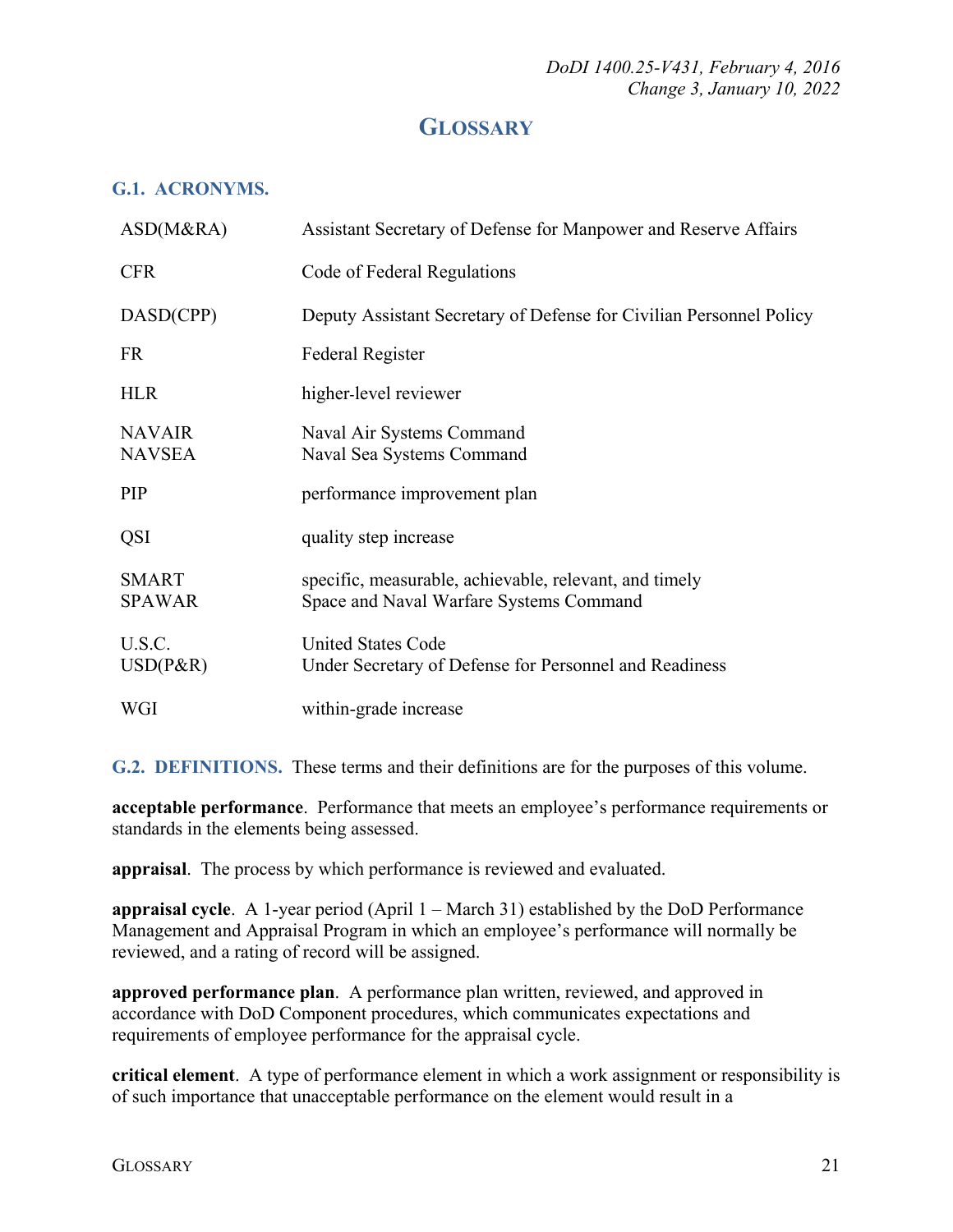## **GLOSSARY**

### <span id="page-20-1"></span><span id="page-20-0"></span>**G.1. ACRONYMS.**

| ASD(M&RA)                      | Assistant Secretary of Defense for Manpower and Reserve Affairs                                   |
|--------------------------------|---------------------------------------------------------------------------------------------------|
| <b>CFR</b>                     | Code of Federal Regulations                                                                       |
| DASD(CPP)                      | Deputy Assistant Secretary of Defense for Civilian Personnel Policy                               |
| <b>FR</b>                      | <b>Federal Register</b>                                                                           |
| <b>HLR</b>                     | higher-level reviewer                                                                             |
| <b>NAVAIR</b><br><b>NAVSEA</b> | Naval Air Systems Command<br>Naval Sea Systems Command                                            |
| PIP                            | performance improvement plan                                                                      |
| QSI                            | quality step increase                                                                             |
| <b>SMART</b><br><b>SPAWAR</b>  | specific, measurable, achievable, relevant, and timely<br>Space and Naval Warfare Systems Command |
| U.S.C.<br>$USD(P\&R)$          | <b>United States Code</b><br>Under Secretary of Defense for Personnel and Readiness               |
| WGI                            | within-grade increase                                                                             |

<span id="page-20-2"></span>**G.2. DEFINITIONS.** These terms and their definitions are for the purposes of this volume.

**acceptable performance**. Performance that meets an employee's performance requirements or standards in the elements being assessed.

**appraisal**. The process by which performance is reviewed and evaluated.

**appraisal cycle**. A 1-year period (April 1 – March 31) established by the DoD Performance Management and Appraisal Program in which an employee's performance will normally be reviewed, and a rating of record will be assigned.

**approved performance plan**. A performance plan written, reviewed, and approved in accordance with DoD Component procedures, which communicates expectations and requirements of employee performance for the appraisal cycle.

**critical element**. A type of performance element in which a work assignment or responsibility is of such importance that unacceptable performance on the element would result in a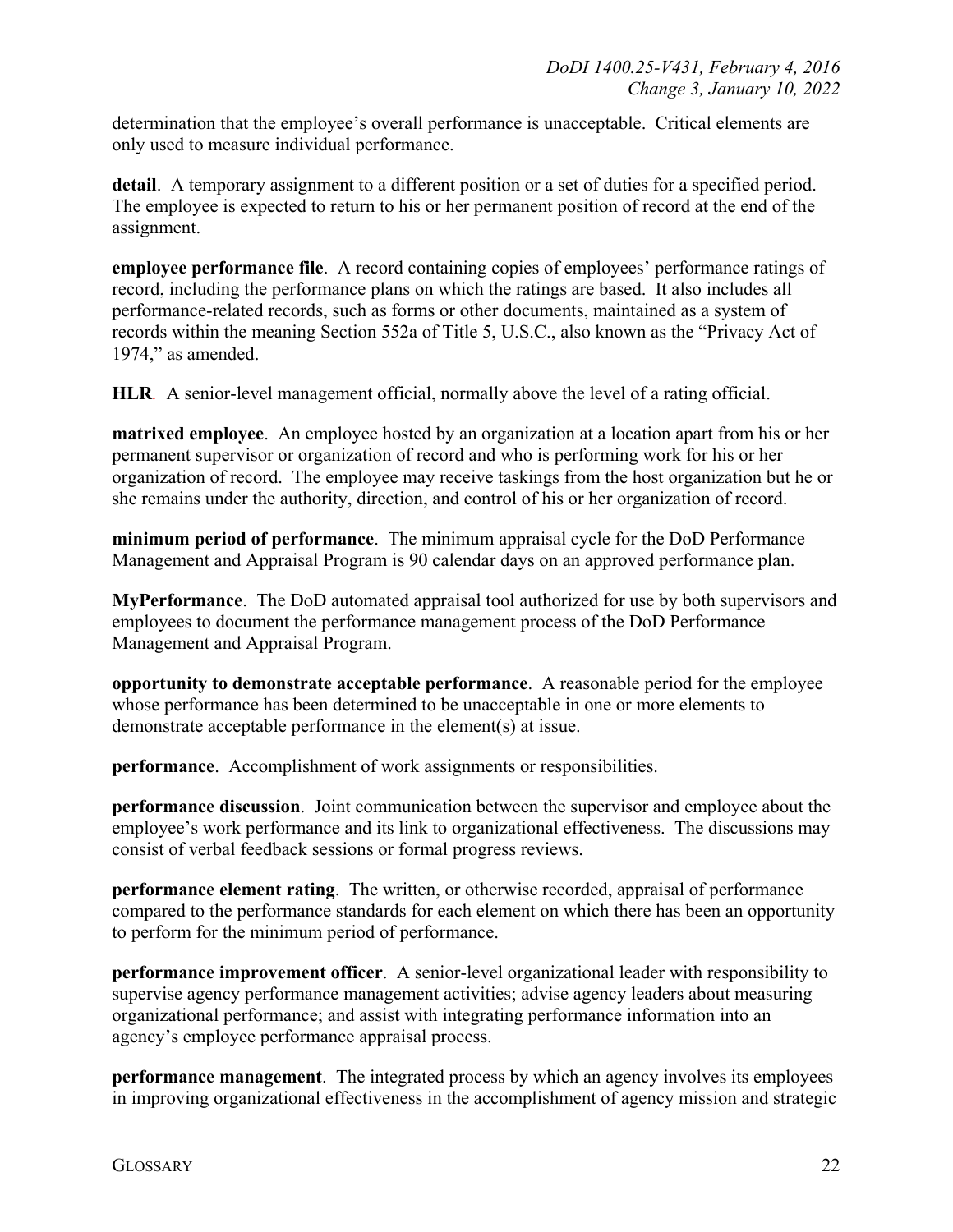determination that the employee's overall performance is unacceptable. Critical elements are only used to measure individual performance.

**detail**. A temporary assignment to a different position or a set of duties for a specified period. The employee is expected to return to his or her permanent position of record at the end of the assignment.

**employee performance file**. A record containing copies of employees' performance ratings of record, including the performance plans on which the ratings are based. It also includes all performance-related records, such as forms or other documents, maintained as a system of records within the meaning Section 552a of Title 5, U.S.C., also known as the "Privacy Act of 1974," as amended.

**HLR***.* A senior-level management official, normally above the level of a rating official.

**matrixed employee**. An employee hosted by an organization at a location apart from his or her permanent supervisor or organization of record and who is performing work for his or her organization of record. The employee may receive taskings from the host organization but he or she remains under the authority, direction, and control of his or her organization of record.

**minimum period of performance**. The minimum appraisal cycle for the DoD Performance Management and Appraisal Program is 90 calendar days on an approved performance plan.

**MyPerformance**. The DoD automated appraisal tool authorized for use by both supervisors and employees to document the performance management process of the DoD Performance Management and Appraisal Program.

**opportunity to demonstrate acceptable performance**. A reasonable period for the employee whose performance has been determined to be unacceptable in one or more elements to demonstrate acceptable performance in the element(s) at issue.

**performance**. Accomplishment of work assignments or responsibilities.

**performance discussion**. Joint communication between the supervisor and employee about the employee's work performance and its link to organizational effectiveness. The discussions may consist of verbal feedback sessions or formal progress reviews.

**performance element rating**. The written, or otherwise recorded, appraisal of performance compared to the performance standards for each element on which there has been an opportunity to perform for the minimum period of performance.

**performance improvement officer**. A senior-level organizational leader with responsibility to supervise agency performance management activities; advise agency leaders about measuring organizational performance; and assist with integrating performance information into an agency's employee performance appraisal process.

**performance management**. The integrated process by which an agency involves its employees in improving organizational effectiveness in the accomplishment of agency mission and strategic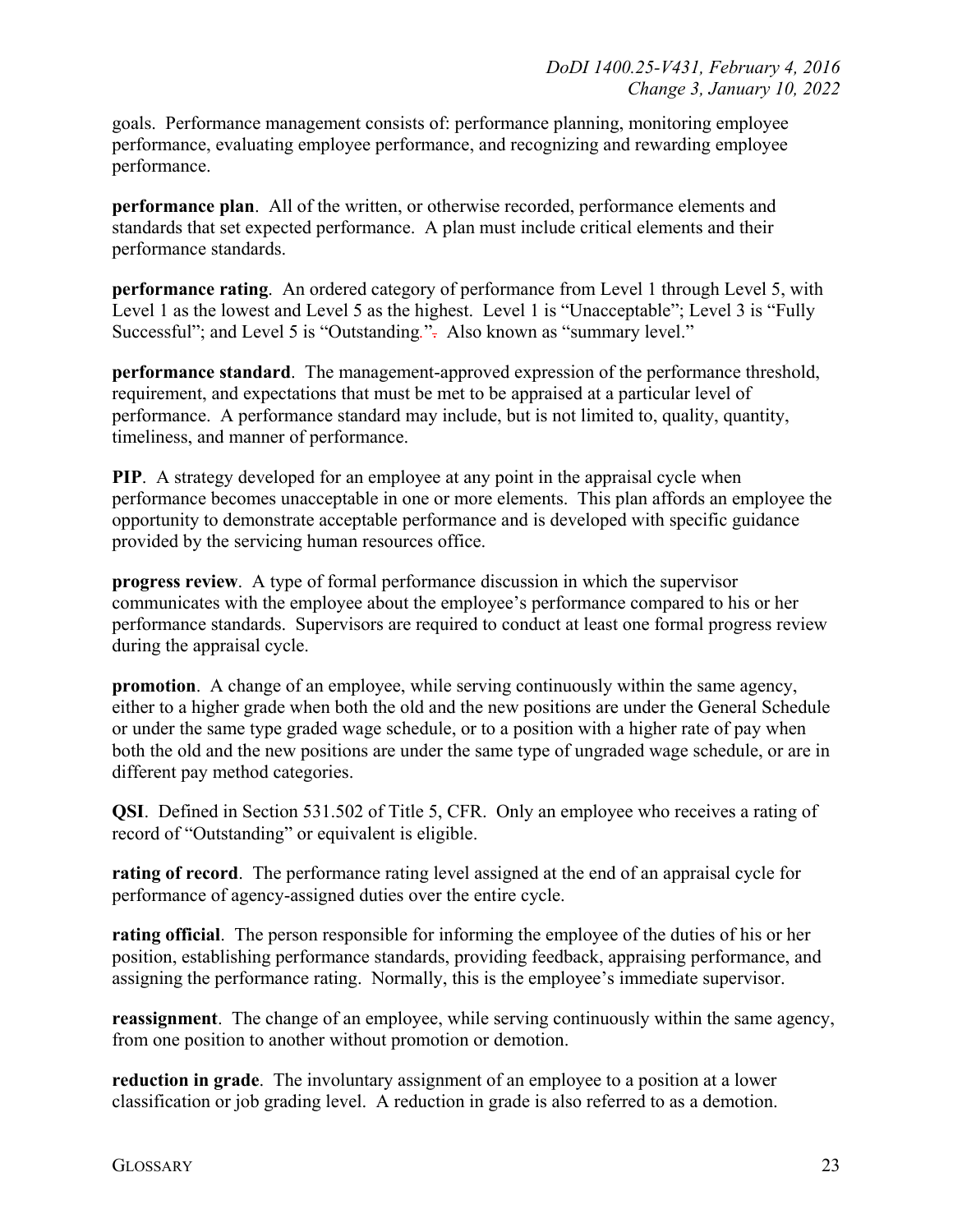goals. Performance management consists of: performance planning, monitoring employee performance, evaluating employee performance, and recognizing and rewarding employee performance.

**performance plan**. All of the written, or otherwise recorded, performance elements and standards that set expected performance. A plan must include critical elements and their performance standards.

**performance rating**. An ordered category of performance from Level 1 through Level 5, with Level 1 as the lowest and Level 5 as the highest. Level 1 is "Unacceptable"; Level 3 is "Fully Successful"; and Level 5 is "Outstanding.". Also known as "summary level."

**performance standard**. The management-approved expression of the performance threshold, requirement, and expectations that must be met to be appraised at a particular level of performance. A performance standard may include, but is not limited to, quality, quantity, timeliness, and manner of performance.

**PIP**. A strategy developed for an employee at any point in the appraisal cycle when performance becomes unacceptable in one or more elements. This plan affords an employee the opportunity to demonstrate acceptable performance and is developed with specific guidance provided by the servicing human resources office.

**progress review**. A type of formal performance discussion in which the supervisor communicates with the employee about the employee's performance compared to his or her performance standards. Supervisors are required to conduct at least one formal progress review during the appraisal cycle.

**promotion**. A change of an employee, while serving continuously within the same agency, either to a higher grade when both the old and the new positions are under the General Schedule or under the same type graded wage schedule, or to a position with a higher rate of pay when both the old and the new positions are under the same type of ungraded wage schedule, or are in different pay method categories.

**QSI**. Defined in Section 531.502 of Title 5, CFR. Only an employee who receives a rating of record of "Outstanding" or equivalent is eligible.

**rating of record**. The performance rating level assigned at the end of an appraisal cycle for performance of agency-assigned duties over the entire cycle.

**rating official**. The person responsible for informing the employee of the duties of his or her position, establishing performance standards, providing feedback, appraising performance, and assigning the performance rating. Normally, this is the employee's immediate supervisor.

**reassignment**. The change of an employee, while serving continuously within the same agency, from one position to another without promotion or demotion.

**reduction in grade**. The involuntary assignment of an employee to a position at a lower classification or job grading level. A reduction in grade is also referred to as a demotion.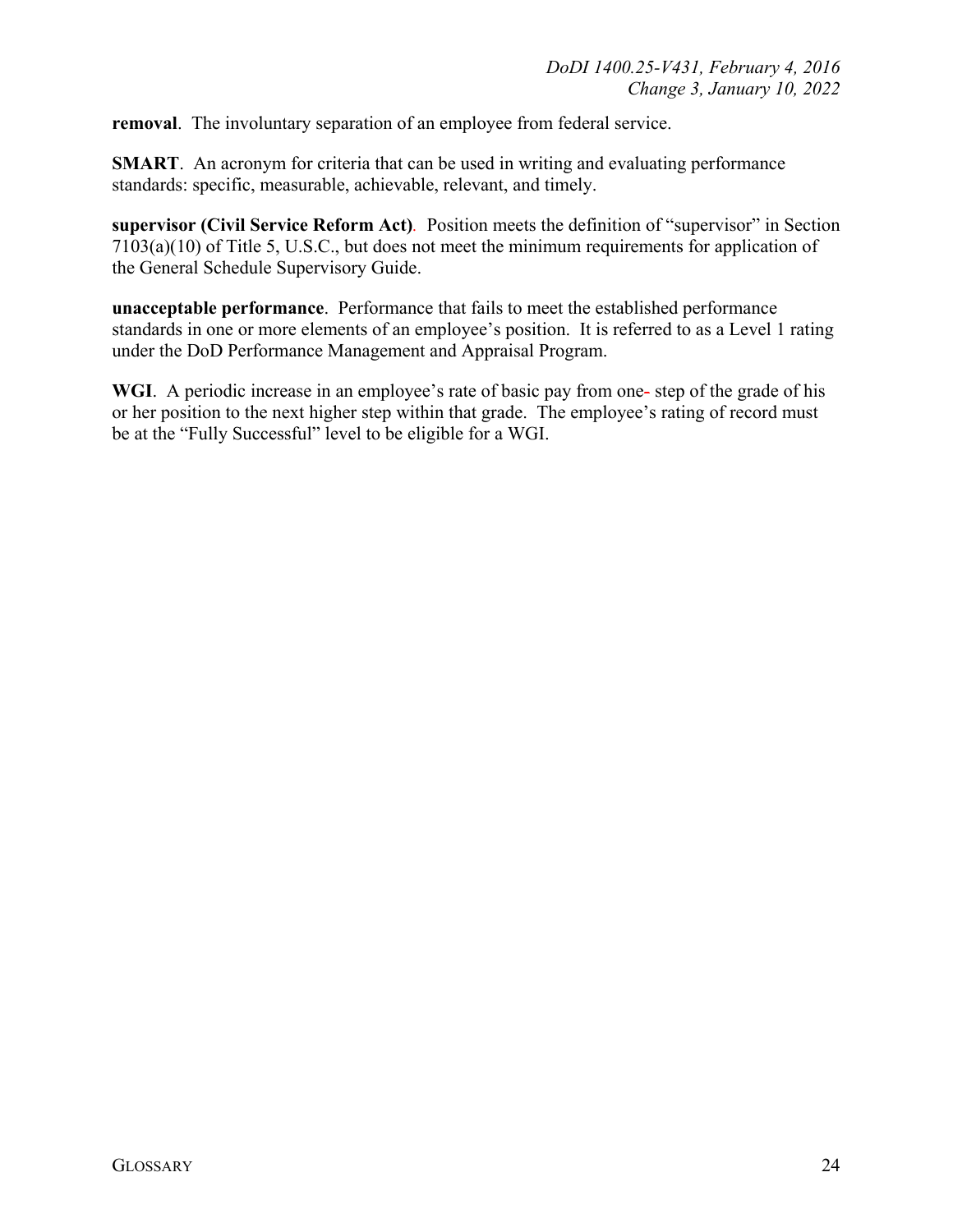**removal**. The involuntary separation of an employee from federal service.

**SMART**. An acronym for criteria that can be used in writing and evaluating performance standards: specific, measurable, achievable, relevant, and timely.

**supervisor (Civil Service Reform Act)***.* Position meets the definition of "supervisor" in Section 7103(a)(10) of Title 5, U.S.C., but does not meet the minimum requirements for application of the General Schedule Supervisory Guide.

**unacceptable performance**. Performance that fails to meet the established performance standards in one or more elements of an employee's position. It is referred to as a Level 1 rating under the DoD Performance Management and Appraisal Program.

WGI. A periodic increase in an employee's rate of basic pay from one-step of the grade of his or her position to the next higher step within that grade. The employee's rating of record must be at the "Fully Successful" level to be eligible for a WGI.